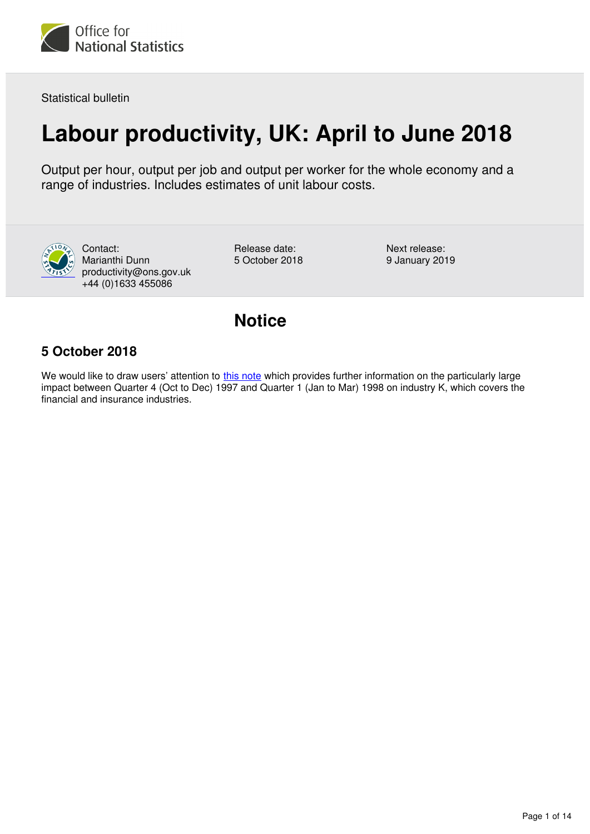

Statistical bulletin

# **Labour productivity, UK: April to June 2018**

Output per hour, output per job and output per worker for the whole economy and a range of industries. Includes estimates of unit labour costs.



Contact: Marianthi Dunn productivity@ons.gov.uk +44 (0)1633 455086

Release date: 5 October 2018 Next release: 9 January 2019

## **Notice**

## **5 October 2018**

We would like to draw users' attention to [this note](https://www.ons.gov.uk/economy/grossdomesticproductgdp/datasets/ukgdpolowlevelaggregates) which provides further information on the particularly large impact between Quarter 4 (Oct to Dec) 1997 and Quarter 1 (Jan to Mar) 1998 on industry K, which covers the financial and insurance industries.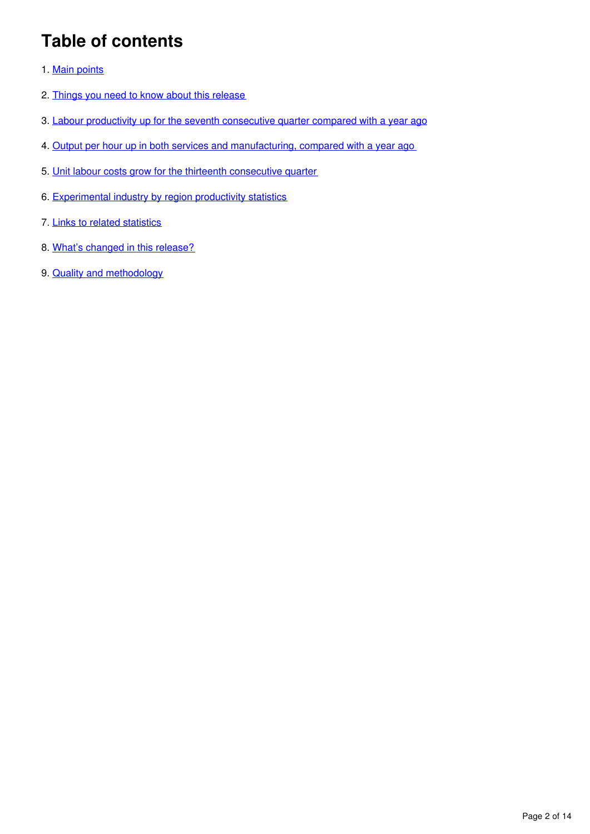## **Table of contents**

- 1. [Main points](#page-2-0)
- 2. [Things you need to know about this release](#page-2-1)
- 3. [Labour productivity up for the seventh consecutive quarter compared with a year ago](#page-3-0)
- 4. [Output per hour up in both services and manufacturing, compared with a year ago](#page-5-0)
- 5. [Unit labour costs grow for the thirteenth consecutive quarter](#page-6-0)
- 6. [Experimental industry by region productivity statistics](#page-7-0)
- 7. [Links to related statistics](#page-9-0)
- 8. [What's changed in this release?](#page-10-0)
- 9. **[Quality and methodology](#page-12-0)**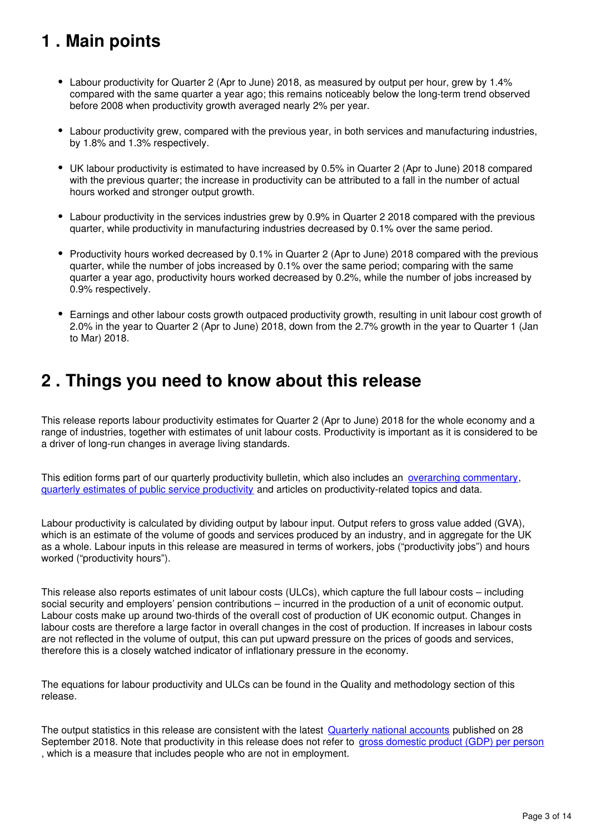## <span id="page-2-0"></span>**1 . Main points**

- Labour productivity for Quarter 2 (Apr to June) 2018, as measured by output per hour, grew by 1.4% compared with the same quarter a year ago; this remains noticeably below the long-term trend observed before 2008 when productivity growth averaged nearly 2% per year.
- Labour productivity grew, compared with the previous year, in both services and manufacturing industries, by 1.8% and 1.3% respectively.
- UK labour productivity is estimated to have increased by 0.5% in Quarter 2 (Apr to June) 2018 compared with the previous quarter; the increase in productivity can be attributed to a fall in the number of actual hours worked and stronger output growth.
- Labour productivity in the services industries grew by 0.9% in Quarter 2 2018 compared with the previous quarter, while productivity in manufacturing industries decreased by 0.1% over the same period.
- Productivity hours worked decreased by 0.1% in Quarter 2 (Apr to June) 2018 compared with the previous quarter, while the number of jobs increased by 0.1% over the same period; comparing with the same quarter a year ago, productivity hours worked decreased by 0.2%, while the number of jobs increased by 0.9% respectively.
- Earnings and other labour costs growth outpaced productivity growth, resulting in unit labour cost growth of 2.0% in the year to Quarter 2 (Apr to June) 2018, down from the 2.7% growth in the year to Quarter 1 (Jan to Mar) 2018.

## <span id="page-2-1"></span>**2 . Things you need to know about this release**

This release reports labour productivity estimates for Quarter 2 (Apr to June) 2018 for the whole economy and a range of industries, together with estimates of unit labour costs. Productivity is important as it is considered to be a driver of long-run changes in average living standards.

This edition forms part of our quarterly productivity bulletin, which also includes an *[overarching commentary](https://www.ons.gov.uk/employmentandlabourmarket/peopleinwork/labourproductivity/articles/ukproductivityintroduction/previousReleases)*, [quarterly estimates of public service productivity](https://www.ons.gov.uk/employmentandlabourmarket/peopleinwork/labourproductivity/articles/quarterlypublicserviceproductivityexperimentalstatistics/previousReleases) and articles on productivity-related topics and data.

Labour productivity is calculated by dividing output by labour input. Output refers to gross value added (GVA), which is an estimate of the volume of goods and services produced by an industry, and in aggregate for the UK as a whole. Labour inputs in this release are measured in terms of workers, jobs ("productivity jobs") and hours worked ("productivity hours").

This release also reports estimates of unit labour costs (ULCs), which capture the full labour costs – including social security and employers' pension contributions – incurred in the production of a unit of economic output. Labour costs make up around two-thirds of the overall cost of production of UK economic output. Changes in labour costs are therefore a large factor in overall changes in the cost of production. If increases in labour costs are not reflected in the volume of output, this can put upward pressure on the prices of goods and services, therefore this is a closely watched indicator of inflationary pressure in the economy.

The equations for labour productivity and ULCs can be found in the Quality and methodology section of this release.

The output statistics in this release are consistent with the latest [Quarterly national accounts](https://www.ons.gov.uk/economy/grossdomesticproductgdp/bulletins/quarterlynationalaccounts/apriltojune2018) published on 28 September 2018. Note that productivity in this release does not refer to [gross domestic product \(GDP\) per person](https://www.ons.gov.uk/peoplepopulationandcommunity/personalandhouseholdfinances/incomeandwealth/bulletins/economicwellbeing/previousReleases) , which is a measure that includes people who are not in employment.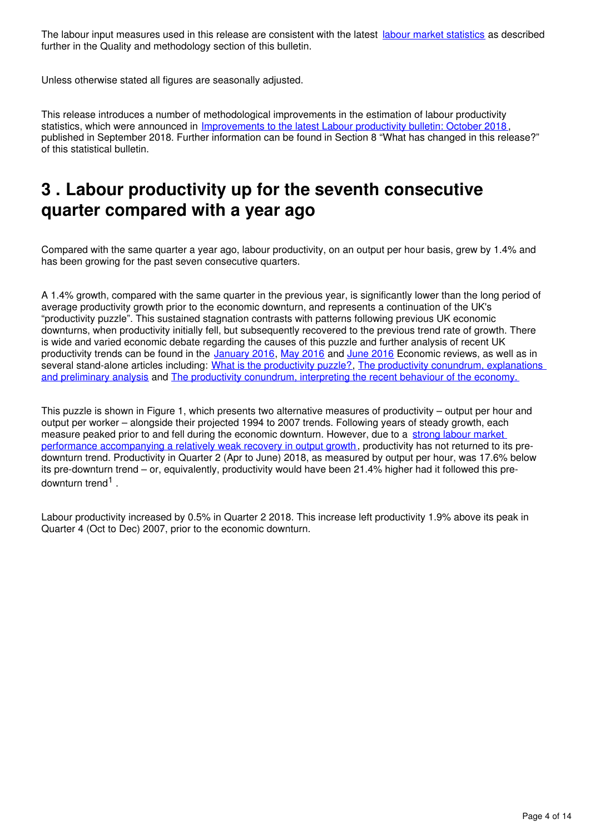The labour input measures used in this release are consistent with the latest [labour market statistics](https://www.ons.gov.uk/employmentandlabourmarket/peopleinwork/employmentandemployeetypes/bulletins/uklabourmarket/previousReleases) as described further in the Quality and methodology section of this bulletin.

Unless otherwise stated all figures are seasonally adjusted.

This release introduces a number of methodological improvements in the estimation of labour productivity statistics, which were announced in [Improvements to the latest Labour productivity bulletin: October 2018](https://www.ons.gov.uk/economy/economicoutputandproductivity/productivitymeasures/articles/labourproductivityarticlesimprovementstothelatestlabourproductivitybulletin/october2018) , published in September 2018. Further information can be found in Section 8 "What has changed in this release?" of this statistical bulletin.

## <span id="page-3-0"></span>**3 . Labour productivity up for the seventh consecutive quarter compared with a year ago**

Compared with the same quarter a year ago, labour productivity, on an output per hour basis, grew by 1.4% and has been growing for the past seven consecutive quarters.

A 1.4% growth, compared with the same quarter in the previous year, is significantly lower than the long period of average productivity growth prior to the economic downturn, and represents a continuation of the UK's "productivity puzzle". This sustained stagnation contrasts with patterns following previous UK economic downturns, when productivity initially fell, but subsequently recovered to the previous trend rate of growth. There is wide and varied economic debate regarding the causes of this puzzle and further analysis of recent UK productivitytrends can be found in the [January 2016](https://www.ons.gov.uk/economy/nationalaccounts/uksectoraccounts/articles/economicreview/january2016), May 2016 and June 2016 Economic reviews, as well as in several stand-alone articles including: What is the productivity puzzle?[,](http://visual.ons.gov.uk/productivity-puzzle/) The productivity conundrum, explanations [and preliminary analysis](http://webarchive.nationalarchives.gov.uk/20160105160709/http:/www.ons.gov.uk/ons/rel/elmr/the-productivity-conundrum/explanations-and-preliminary-analysis/art-explanations-and-preliminary-analysis.html) and [The productivity conundrum, interpreting the recent behaviour of the economy.](http://webarchive.nationalarchives.gov.uk/20160105160709/http:/www.ons.gov.uk/ons/rel/elmr/the-productivity-conundrum/interpreting-the-recent-behaviour-of-the-economy/art-interpreting-the-recent-behaviour-of-the-economy.html)

This puzzle is shown in Figure 1, which presents two alternative measures of productivity – output per hour and output per worker – alongside their projected 1994 to 2007 trends. Following years of steady growth, each measure peaked prior to and fell during the economic downturn. However, due to a [strong labour market](https://www.ons.gov.uk/economy/economicoutputandproductivity/productivitymeasures/articles/gdpandthelabourmarket)  [performance accompanying a relatively weak recovery in output growth,](https://www.ons.gov.uk/economy/economicoutputandproductivity/productivitymeasures/articles/gdpandthelabourmarket) productivity has not returned to its predownturn trend. Productivity in Quarter 2 (Apr to June) 2018, as measured by output per hour, was 17.6% below its pre-downturn trend – or, equivalently, productivity would have been 21.4% higher had it followed this predownturn trend<sup>1</sup>.

Labour productivity increased by 0.5% in Quarter 2 2018. This increase left productivity 1.9% above its peak in Quarter 4 (Oct to Dec) 2007, prior to the economic downturn.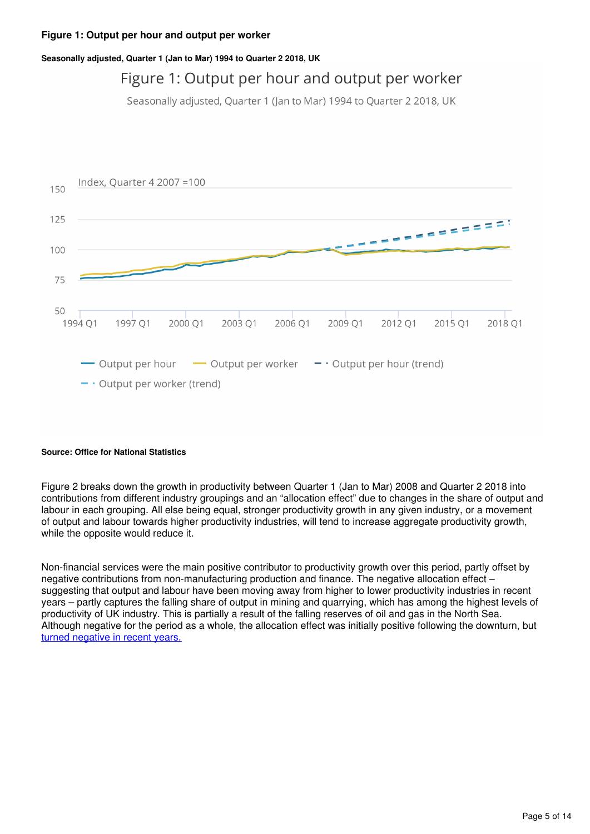#### **Figure 1: Output per hour and output per worker**

#### **Seasonally adjusted, Quarter 1 (Jan to Mar) 1994 to Quarter 2 2018, UK**

## Figure 1: Output per hour and output per worker

Seasonally adjusted, Quarter 1 (Jan to Mar) 1994 to Quarter 2 2018, UK



#### **Source: Office for National Statistics**

Figure 2 breaks down the growth in productivity between Quarter 1 (Jan to Mar) 2008 and Quarter 2 2018 into contributions from different industry groupings and an "allocation effect" due to changes in the share of output and labour in each grouping. All else being equal, stronger productivity growth in any given industry, or a movement of output and labour towards higher productivity industries, will tend to increase aggregate productivity growth, while the opposite would reduce it.

Non-financial services were the main positive contributor to productivity growth over this period, partly offset by negative contributions from non-manufacturing production and finance. The negative allocation effect – suggesting that output and labour have been moving away from higher to lower productivity industries in recent years – partly captures the falling share of output in mining and quarrying, which has among the highest levels of productivity of UK industry. This is partially a result of the falling reserves of oil and gas in the North Sea. Although negative for the period as a whole, the allocation effect was initially positive following the downturn, but [turned negative in recent years.](https://www.ons.gov.uk/employmentandlabourmarket/peopleinwork/labourproductivity/datasets/annualbreakdownofcontributionswholeeconomyandsectors)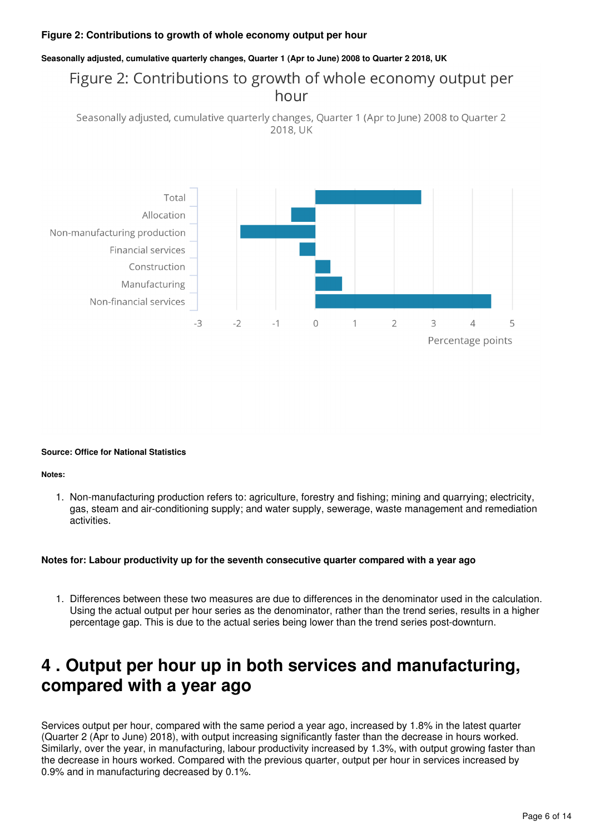#### **Figure 2: Contributions to growth of whole economy output per hour**

#### **Seasonally adjusted, cumulative quarterly changes, Quarter 1 (Apr to June) 2008 to Quarter 2 2018, UK**

## Figure 2: Contributions to growth of whole economy output per hour

```
Seasonally adjusted, cumulative quarterly changes, Quarter 1 (Apr to June) 2008 to Quarter 2
                                         2018, UK
```


#### **Source: Office for National Statistics**

#### **Notes:**

1. Non-manufacturing production refers to: agriculture, forestry and fishing; mining and quarrying; electricity, gas, steam and air-conditioning supply; and water supply, sewerage, waste management and remediation activities.

#### **Notes for: Labour productivity up for the seventh consecutive quarter compared with a year ago**

1. Differences between these two measures are due to differences in the denominator used in the calculation. Using the actual output per hour series as the denominator, rather than the trend series, results in a higher percentage gap. This is due to the actual series being lower than the trend series post-downturn.

## <span id="page-5-0"></span>**4 . Output per hour up in both services and manufacturing, compared with a year ago**

Services output per hour, compared with the same period a year ago, increased by 1.8% in the latest quarter (Quarter 2 (Apr to June) 2018), with output increasing significantly faster than the decrease in hours worked. Similarly, over the year, in manufacturing, labour productivity increased by 1.3%, with output growing faster than the decrease in hours worked. Compared with the previous quarter, output per hour in services increased by 0.9% and in manufacturing decreased by 0.1%.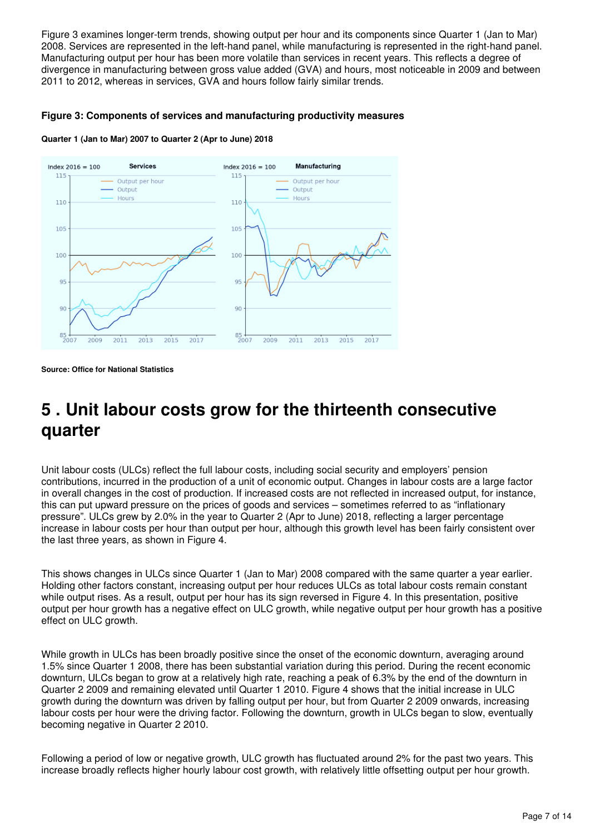Figure 3 examines longer-term trends, showing output per hour and its components since Quarter 1 (Jan to Mar) 2008. Services are represented in the left-hand panel, while manufacturing is represented in the right-hand panel. Manufacturing output per hour has been more volatile than services in recent years. This reflects a degree of divergence in manufacturing between gross value added (GVA) and hours, most noticeable in 2009 and between 2011 to 2012, whereas in services, GVA and hours follow fairly similar trends.

#### **Figure 3: Components of services and manufacturing productivity measures**

**Quarter 1 (Jan to Mar) 2007 to Quarter 2 (Apr to June) 2018**



**Source: Office for National Statistics**

## <span id="page-6-0"></span>**5 . Unit labour costs grow for the thirteenth consecutive quarter**

Unit labour costs (ULCs) reflect the full labour costs, including social security and employers' pension contributions, incurred in the production of a unit of economic output. Changes in labour costs are a large factor in overall changes in the cost of production. If increased costs are not reflected in increased output, for instance, this can put upward pressure on the prices of goods and services – sometimes referred to as "inflationary pressure". ULCs grew by 2.0% in the year to Quarter 2 (Apr to June) 2018, reflecting a larger percentage increase in labour costs per hour than output per hour, although this growth level has been fairly consistent over the last three years, as shown in Figure 4.

This shows changes in ULCs since Quarter 1 (Jan to Mar) 2008 compared with the same quarter a year earlier. Holding other factors constant, increasing output per hour reduces ULCs as total labour costs remain constant while output rises. As a result, output per hour has its sign reversed in Figure 4. In this presentation, positive output per hour growth has a negative effect on ULC growth, while negative output per hour growth has a positive effect on ULC growth.

While growth in ULCs has been broadly positive since the onset of the economic downturn, averaging around 1.5% since Quarter 1 2008, there has been substantial variation during this period. During the recent economic downturn, ULCs began to grow at a relatively high rate, reaching a peak of 6.3% by the end of the downturn in Quarter 2 2009 and remaining elevated until Quarter 1 2010. Figure 4 shows that the initial increase in ULC growth during the downturn was driven by falling output per hour, but from Quarter 2 2009 onwards, increasing labour costs per hour were the driving factor. Following the downturn, growth in ULCs began to slow, eventually becoming negative in Quarter 2 2010.

Following a period of low or negative growth, ULC growth has fluctuated around 2% for the past two years. This increase broadly reflects higher hourly labour cost growth, with relatively little offsetting output per hour growth.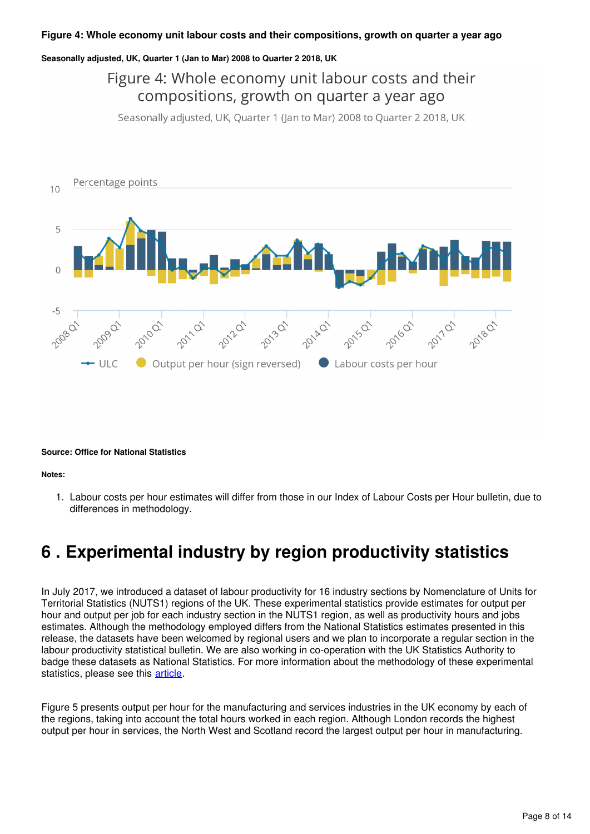#### **Figure 4: Whole economy unit labour costs and their compositions, growth on quarter a year ago**

#### **Seasonally adjusted, UK, Quarter 1 (Jan to Mar) 2008 to Quarter 2 2018, UK**

## Figure 4: Whole economy unit labour costs and their compositions, growth on quarter a year ago

Seasonally adjusted, UK, Quarter 1 (Jan to Mar) 2008 to Quarter 2 2018, UK



#### **Source: Office for National Statistics**

**Notes:**

1. Labour costs per hour estimates will differ from those in our Index of Labour Costs per Hour bulletin, due to differences in methodology.

## <span id="page-7-0"></span>**6 . Experimental industry by region productivity statistics**

In July 2017, we introduced a dataset of labour productivity for 16 industry sections by Nomenclature of Units for Territorial Statistics (NUTS1) regions of the UK. These experimental statistics provide estimates for output per hour and output per job for each industry section in the NUTS1 region, as well as productivity hours and jobs estimates. Although the methodology employed differs from the National Statistics estimates presented in this release, the datasets have been welcomed by regional users and we plan to incorporate a regular section in the labour productivity statistical bulletin. We are also working in co-operation with the UK Statistics Authority to badge these datasets as National Statistics. For more information about the methodology of these experimental statistics, please see this article[.](https://www.ons.gov.uk/economy/economicoutputandproductivity/productivitymeasures/articles/introducingindustrybyregionlabourmetricsandproductivity/april2018)

Figure 5 presents output per hour for the manufacturing and services industries in the UK economy by each of the regions, taking into account the total hours worked in each region. Although London records the highest output per hour in services, the North West and Scotland record the largest output per hour in manufacturing.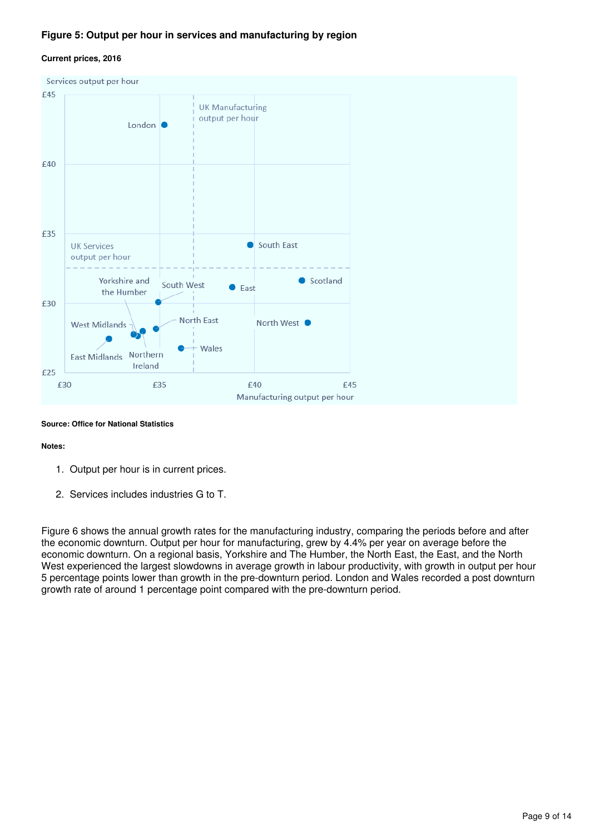#### **Figure 5: Output per hour in services and manufacturing by region**

#### **Current prices, 2016**



#### **Source: Office for National Statistics**

#### **Notes:**

- 1. Output per hour is in current prices.
- 2. Services includes industries G to T.

Figure 6 shows the annual growth rates for the manufacturing industry, comparing the periods before and after the economic downturn. Output per hour for manufacturing, grew by 4.4% per year on average before the economic downturn. On a regional basis, Yorkshire and The Humber, the North East, the East, and the North West experienced the largest slowdowns in average growth in labour productivity, with growth in output per hour 5 percentage points lower than growth in the pre-downturn period. London and Wales recorded a post downturn growth rate of around 1 percentage point compared with the pre-downturn period.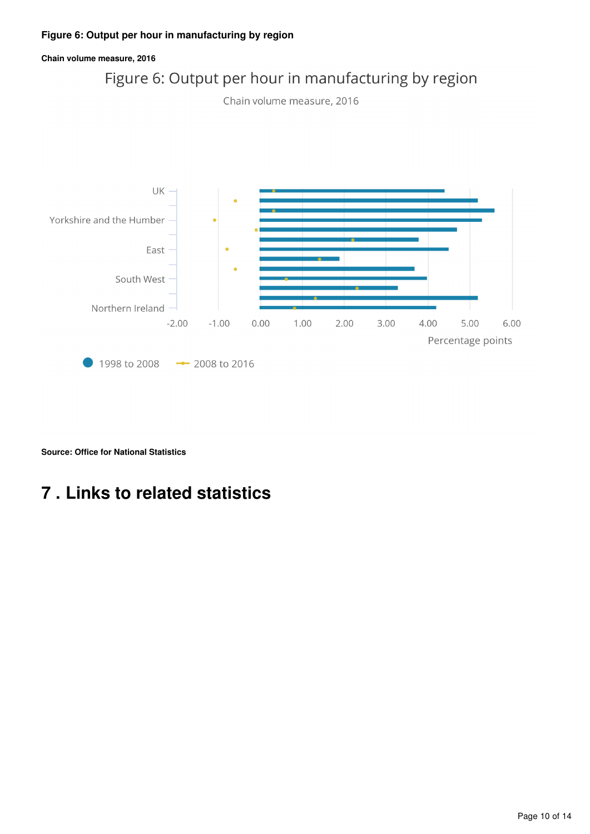#### **Figure 6: Output per hour in manufacturing by region**





**Source: Office for National Statistics**

## <span id="page-9-0"></span>**7 . Links to related statistics**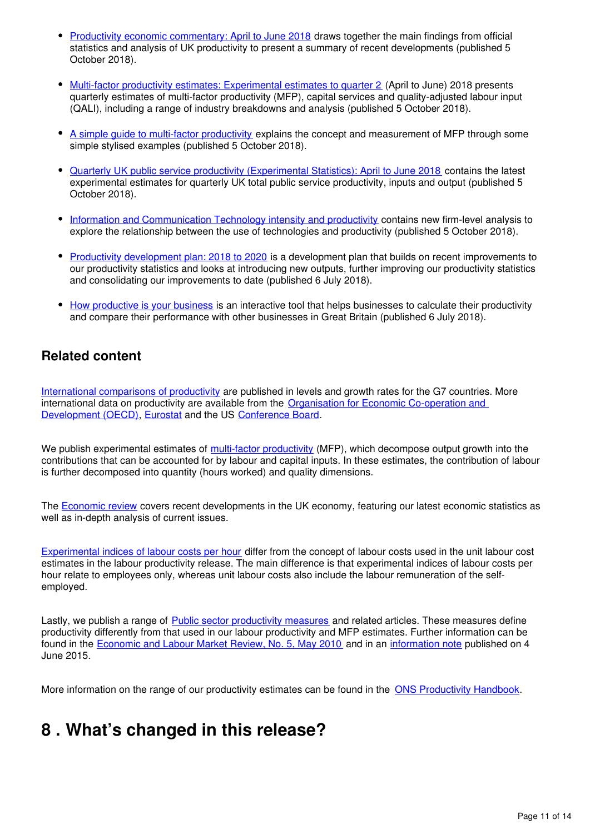- [Productivity economic commentary: April to June 2018](https://www.ons.gov.uk/employmentandlabourmarket/peopleinwork/labourproductivity/articles/ukproductivityintroduction/apriltojune2018) draws together the main findings from official statistics and analysis of UK productivity to present a summary of recent developments (published 5 October 2018).
- [Multi-factor productivity estimates: Experimental estimates to quarter 2](https://www.ons.gov.uk/economy/economicoutputandproductivity/productivitymeasures/articles/multifactorproductivityestimates/experimentalestimatestoquarter2apriltojune2018) (April to June) 2018 presents quarterly estimates of multi-factor productivity (MFP), capital services and quality-adjusted labour input (QALI), including a range of industry breakdowns and analysis (published 5 October 2018).
- A simple quide to multi-factor productivity explains the concept and measurement of MFP through some simple stylised examples (published 5 October 2018).
- [Quarterly UK public service productivity \(Experimental Statistics\): April to June 2018](https://www.ons.gov.uk/employmentandlabourmarket/peopleinwork/labourproductivity/articles/quarterlypublicserviceproductivityexperimentalstatistics/apriltojune2018) contains the latest experimental estimates for quarterly UK total public service productivity, inputs and output (published 5 October 2018).
- [Information and Communication Technology intensity and productivity](https://www.ons.gov.uk/economy/economicoutputandproductivity/productivitymeasures/articles/informationandcommunicationtechnologyintensityandproductivity/2018-10-05) contains new firm-level analysis to explore the relationship between the use of technologies and productivity (published 5 October 2018).
- [Productivity development plan: 2018 to 2020](https://www.ons.gov.uk/economy/economicoutputandproductivity/productivitymeasures/articles/productivitydevelopmentplan/2018to2020) is a development plan that builds on recent improvements to our productivity statistics and looks at introducing new outputs, further improving our productivity statistics and consolidating our improvements to date (published 6 July 2018).
- [How productive is your business](https://www.ons.gov.uk/employmentandlabourmarket/peopleinwork/labourproductivity/articles/howproductiveisyourbusiness/2018-07-06) is an interactive tool that helps businesses to calculate their productivity and compare their performance with other businesses in Great Britain (published 6 July 2018).

### **Related content**

[International comparisons of productivity](https://www.ons.gov.uk/economy/economicoutputandproductivity/productivitymeasures/bulletins/internationalcomparisonsofproductivityfinalestimates/previousReleases) are published in levels and growth rates for the G7 countries. More international data on productivity are available from the [Organisation for Economic Co-operation and](http://www.oecd.org/std/oecdmaineconomicindicatorsmei.htm)  [Development \(OECD\)](http://www.oecd.org/std/oecdmaineconomicindicatorsmei.htm), Eurostat and the US Conference Board.

We publish experimental estimates of [multi-factor productivity](https://www.ons.gov.uk/economy/economicoutputandproductivity/productivitymeasures/articles/multifactorproductivityestimates/previousReleases) (MFP), which decompose output growth into the contributions that can be accounted for by labour and capital inputs. In these estimates, the contribution of labour is further decomposed into quantity (hours worked) and quality dimensions.

The [Economic review](https://www.ons.gov.uk/economy/nationalaccounts/uksectoraccounts/articles/economicreview/previousReleases) covers recent developments in the UK economy, featuring our latest economic statistics as well as in-depth analysis of current issues.

[Experimental indices of labour costs per hour](https://www.ons.gov.uk/employmentandlabourmarket/peopleinwork/earningsandworkinghours/bulletins/indexoflabourcostsperhourilch/previousReleases) differ from the concept of labour costs used in the unit labour cost estimates in the labour productivity release. The main difference is that experimental indices of labour costs per hour relate to employees only, whereas unit labour costs also include the labour remuneration of the selfemployed.

Lastly, we publish a range of [Public sector productivity measures](https://www.ons.gov.uk/economy/economicoutputandproductivity/publicservicesproductivity) and related articles. These measures define productivity differently from that used in our labour productivity and MFP estimates. Further information can be found in the [Economic and Labour Market Review, No. 5, May 2010](http://webarchive.nationalarchives.gov.uk/20160108025519/http:/www.ons.gov.uk/ons/rel/elmr/economic-and-labour-market-review/no--5--may-2010/index.html) and in an [information note](http://webarchive.nationalarchives.gov.uk/20160105160709/http:/www.ons.gov.uk/ons/guide-method/method-quality/specific/economy/productivity-measures/productivity-articles/index.html) published on 4 June 2015.

More information on the range of our productivity estimates can be found in the ONS Productivity Handbook.

## <span id="page-10-0"></span>**8 . What's changed in this release?**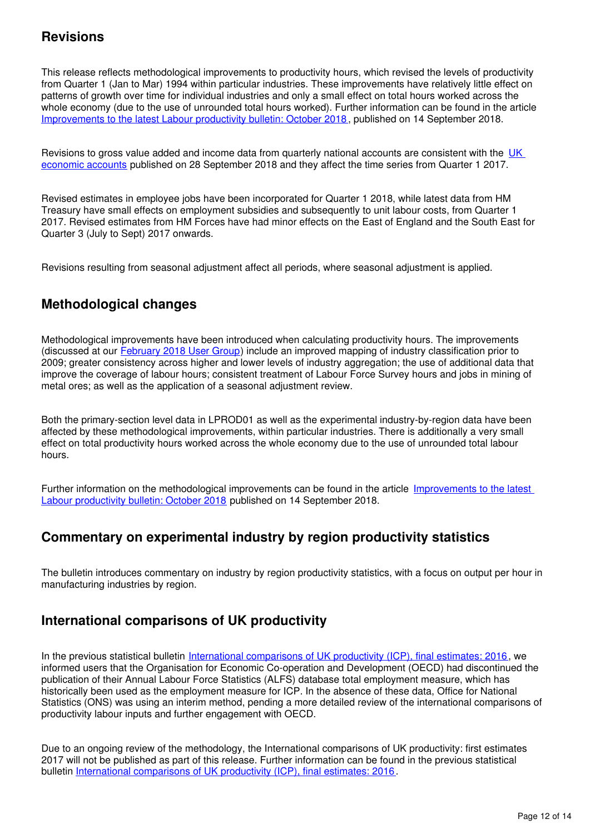### **Revisions**

This release reflects methodological improvements to productivity hours, which revised the levels of productivity from Quarter 1 (Jan to Mar) 1994 within particular industries. These improvements have relatively little effect on patterns of growth over time for individual industries and only a small effect on total hours worked across the whole economy (due to the use of unrounded total hours worked). Further information can be found in the article [Improvements to the latest Labour productivity bulletin: October 2018](https://www.ons.gov.uk/economy/economicoutputandproductivity/productivitymeasures/articles/labourproductivityarticlesimprovementstothelatestlabourproductivitybulletin/october2018) , published on 14 September 2018.

Revisions to gross value added and income data from quarterly national accounts are consistent with the UK [economic accounts](https://www.ons.gov.uk/economy/grossdomesticproductgdp/bulletins/quarterlynationalaccounts/apriltojune2018) published on 28 September 2018 and they affect the time series from Quarter 1 2017.

Revised estimates in employee jobs have been incorporated for Quarter 1 2018, while latest data from HM Treasury have small effects on employment subsidies and subsequently to unit labour costs, from Quarter 1 2017. Revised estimates from HM Forces have had minor effects on the East of England and the South East for Quarter 3 (July to Sept) 2017 onwards.

Revisions resulting from seasonal adjustment affect all periods, where seasonal adjustment is applied.

## **Methodological changes**

Methodological improvements have been introduced when calculating productivity hours. The improvements (discussed at our **[February 2018 User Group](https://www.slideshare.net/statisticsONS/productivity-research-network-march-2018)**[\)](https://www.slideshare.net/statisticsONS/productivity-research-network-march-2018) include an improved mapping of industry classification prior to 2009; greater consistency across higher and lower levels of industry aggregation; the use of additional data that improve the coverage of labour hours; consistent treatment of Labour Force Survey hours and jobs in mining of metal ores; as well as the application of a seasonal adjustment review.

Both the primary-section level data in LPROD01 as well as the experimental industry-by-region data have been affected by these methodological improvements, within particular industries. There is additionally a very small effect on total productivity hours worked across the whole economy due to the use of unrounded total labour hours.

Further information on the methodological improvements can be found in the article [Improvements to the latest](https://www.ons.gov.uk/economy/economicoutputandproductivity/productivitymeasures/articles/labourproductivityarticlesimprovementstothelatestlabourproductivitybulletin/october2018)  [Labour productivity bulletin: October 2018](https://www.ons.gov.uk/economy/economicoutputandproductivity/productivitymeasures/articles/labourproductivityarticlesimprovementstothelatestlabourproductivitybulletin/october2018) published on 14 September 2018.

### **Commentary on experimental industry by region productivity statistics**

The bulletin introduces commentary on industry by region productivity statistics, with a focus on output per hour in manufacturing industries by region.

### **International comparisons of UK productivity**

In the previous statistical bulletin [International comparisons of UK productivity \(ICP\), final estimates: 2016](https://www.ons.gov.uk/economy/economicoutputandproductivity/productivitymeasures/bulletins/internationalcomparisonsofproductivityfinalestimates/2016), we informed users that the Organisation for Economic Co-operation and Development (OECD) had discontinued the publication of their Annual Labour Force Statistics (ALFS) database total employment measure, which has historically been used as the employment measure for ICP. In the absence of these data, Office for National Statistics (ONS) was using an interim method, pending a more detailed review of the international comparisons of productivity labour inputs and further engagement with OECD.

Due to an ongoing review of the methodology, the International comparisons of UK productivity: first estimates 2017 will not be published as part of this release. Further information can be found in the previous statistical bulletin [International comparisons of UK productivity \(ICP\), final estimates: 2016](https://www.ons.gov.uk/economy/economicoutputandproductivity/productivitymeasures/bulletins/internationalcomparisonsofproductivityfinalestimates/2016).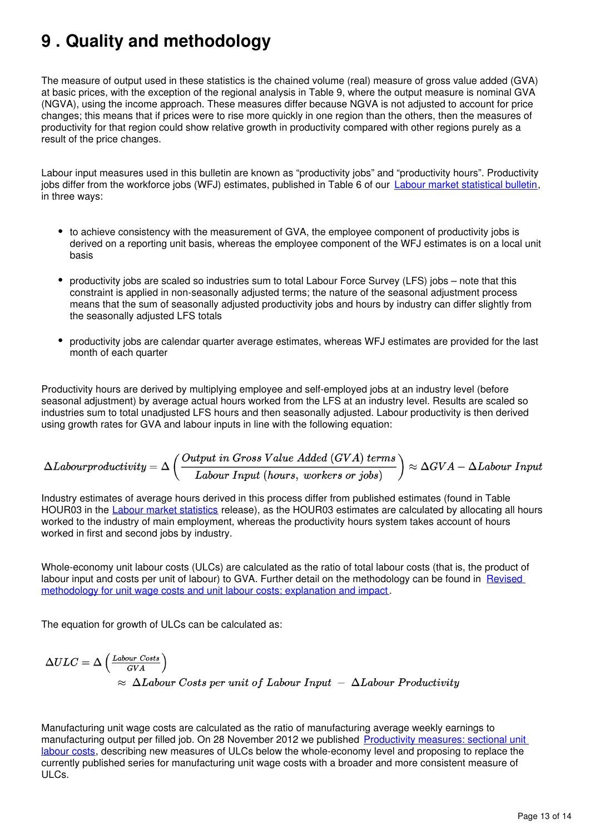## <span id="page-12-0"></span>**9 . Quality and methodology**

The measure of output used in these statistics is the chained volume (real) measure of gross value added (GVA) at basic prices, with the exception of the regional analysis in Table 9, where the output measure is nominal GVA (NGVA), using the income approach. These measures differ because NGVA is not adjusted to account for price changes; this means that if prices were to rise more quickly in one region than the others, then the measures of productivity for that region could show relative growth in productivity compared with other regions purely as a result of the price changes.

Labour input measures used in this bulletin are known as "productivity jobs" and "productivity hours". Productivity jobs differ from the workforce jobs (WFJ) estimates[,](https://www.ons.gov.uk/employmentandlabourmarket/peopleinwork/employmentandemployeetypes/bulletins/uklabourmarket/previousReleases) published in Table 6 of our [Labour market statistical bulletin](https://www.ons.gov.uk/employmentandlabourmarket/peopleinwork/employmentandemployeetypes/bulletins/uklabourmarket/previousReleases), in three ways:

- to achieve consistency with the measurement of GVA, the employee component of productivity jobs is derived on a reporting unit basis, whereas the employee component of the WFJ estimates is on a local unit basis
- productivity jobs are scaled so industries sum to total Labour Force Survey (LFS) jobs note that this constraint is applied in non-seasonally adjusted terms; the nature of the seasonal adjustment process means that the sum of seasonally adjusted productivity jobs and hours by industry can differ slightly from the seasonally adjusted LFS totals
- productivity jobs are calendar quarter average estimates, whereas WFJ estimates are provided for the last month of each quarter

Productivity hours are derived by multiplying employee and self-employed jobs at an industry level (before seasonal adjustment) by average actual hours worked from the LFS at an industry level. Results are scaled so industries sum to total unadjusted LFS hours and then seasonally adjusted. Labour productivity is then derived using growth rates for GVA and labour inputs in line with the following equation:

$$
\Delta Labour productivity = \Delta \left(\frac{Output\ in\ Gross\ Value\ Add\ (GVA)\ terms}{Labour\ Input\ (hours,\ workers\ or\ jobs)}\right) \approx \Delta GVA - \Delta Labour\ Input
$$

Industry estimates of average hours derived in this process differ from published estimates (found in Table HOUR03 in the [Labour market statistics](https://www.ons.gov.uk/employmentandlabourmarket/peopleinwork/employmentandemployeetypes/bulletins/uklabourmarket/previousReleases) release), as the HOUR03 estimates are calculated by allocating all hours worked to the industry of main employment, whereas the productivity hours system takes account of hours worked in first and second jobs by industry.

Whole-economy unit labour costs (ULCs) are calculated as the ratio of total labour costs (that is, the product of labour input and costs per unit of labour) to GVA. Further detail on the methodology can be found in Revised [methodology for unit wage costs and unit labour costs: explanation and impact](http://webarchive.nationalarchives.gov.uk/20160105160709/http:/www.ons.gov.uk/ons/rel/icp/productivity-measures/revised-methodology-for-unit-wage-costs-and-unit-labour-costs--explanation-and-impact/index.html) .

The equation for growth of ULCs can be calculated as:

$$
\Delta ULC = \Delta \left( \frac{L_{\text{about} Costs}}{GVA} \right)
$$
  

$$
\approx \Delta L_{\text{about} Costs per unit of L_{\text{about} Input} - \Delta L_{\text{about} Productivity}}
$$

Manufacturing unit wage costs are calculated as the ratio of manufacturing average weekly earnings to manufacturing output per filled job. On 28 November 2012 we published [Productivity measures: sectional unit](http://webarchive.nationalarchives.gov.uk/20160105160709/http:/www.ons.gov.uk/ons/rel/icp/productivity-measures/sectional-unit-labour-costs/index.html)  [labour costs](http://webarchive.nationalarchives.gov.uk/20160105160709/http:/www.ons.gov.uk/ons/rel/icp/productivity-measures/sectional-unit-labour-costs/index.html), describing new measures of ULCs below the whole-economy level and proposing to replace the currently published series for manufacturing unit wage costs with a broader and more consistent measure of ULCs.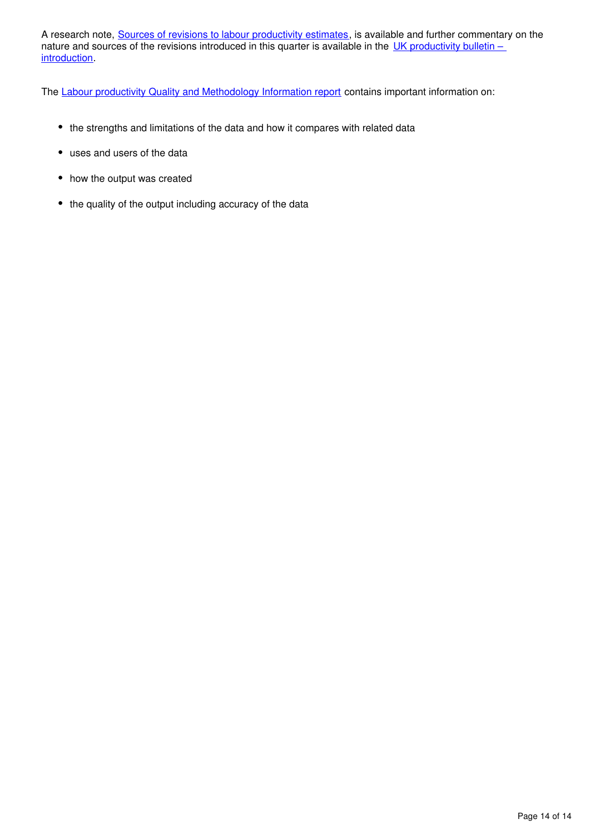A research note, [Sources of revisions to labour productivity estimates](http://webarchive.nationalarchives.gov.uk/20160105160709/http:/www.ons.gov.uk/ons/rel/productivity/labour-productivity/q1-2012/index.html), is available and further commentary on the nature and sources of the revisions introduced in this quarter is available in the UK productivity bulletin – [introduction](https://www.ons.gov.uk/employmentandlabourmarket/peopleinwork/labourproductivity/articles/ukproductivityintroduction/previousReleases).

The [Labour productivity Quality and Methodology Information report](https://www.ons.gov.uk/employmentandlabourmarket/peopleinwork/labourproductivity/qmis/labourproductivityqmi) contains important information on:

- the strengths and limitations of the data and how it compares with related data
- uses and users of the data
- how the output was created
- the quality of the output including accuracy of the data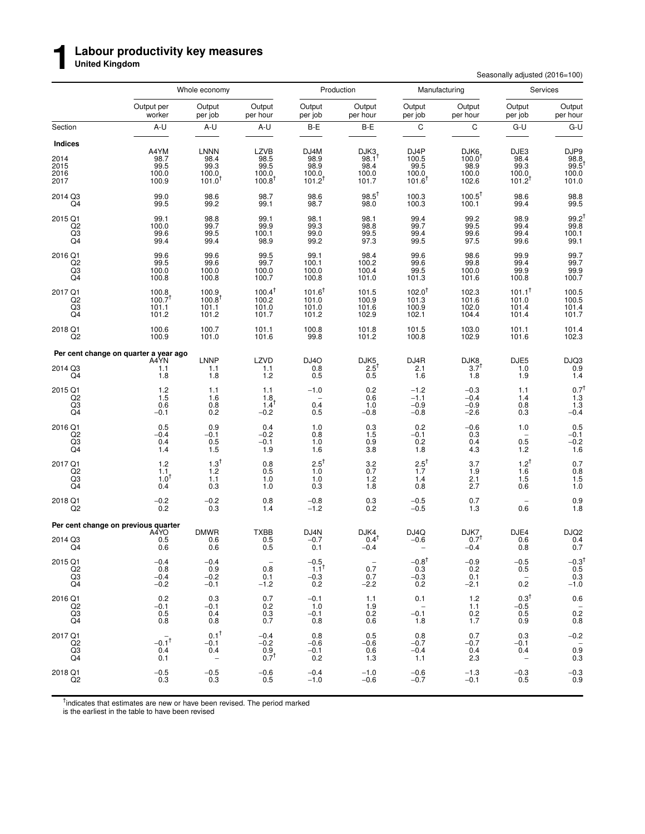#### **Labour productivity key measures**

**United Kingdom**

**1**

Seasonally adjusted (2016=100)

|                                                   |                                                            | Whole economy                                                |                                                              |                                                     | Production                                              |                                                               | Manufacturing                                  | Services                                         |                                                             |
|---------------------------------------------------|------------------------------------------------------------|--------------------------------------------------------------|--------------------------------------------------------------|-----------------------------------------------------|---------------------------------------------------------|---------------------------------------------------------------|------------------------------------------------|--------------------------------------------------|-------------------------------------------------------------|
|                                                   | Output per<br>worker                                       | Output<br>per job                                            | Output<br>per hour                                           | Output<br>per job                                   | Output<br>per hour                                      | Output<br>per job                                             | Output<br>per hour                             | Output<br>per job                                | Output<br>per hour                                          |
| Section                                           | A-U                                                        | A-U                                                          | A-U                                                          | B-E                                                 | B-E                                                     | $\mathsf C$                                                   | C                                              | G-U                                              | G-U                                                         |
| Indices<br>2014<br>2015<br>2016<br>2017           | A4YM<br>98.7<br>99.5<br>100.0<br>100.9                     | <b>LNNN</b><br>98.4<br>99.3<br>100.0<br>$101.0$ <sup>T</sup> | <b>LZVB</b><br>98.5<br>99.5<br>100.0<br>$100.8$ <sup>1</sup> | DJ4M<br>98.9<br>98.9<br>100.0<br>$101.2^{T}$        | DJK3<br>$98.1$ <sup>T</sup><br>98.4<br>100.0<br>101.7   | DJ4P<br>$\frac{100.5}{99.5}$<br>100.0<br>$101.6$ <sup>1</sup> | DJK6<br>$\frac{100.0}{98.9}$<br>100.0<br>102.6 | DJE3<br>98.4<br>99.3<br>100.0<br>$101.2^{T}$     | DJP9<br>98.8<br>99.5<br>100.0<br>101.0                      |
| 2014 Q3<br>Q4                                     | 99.0<br>99.5                                               | 98.6<br>99.2                                                 | 98.7<br>99.1                                                 | 98.6<br>98.7                                        | $98.5^{\dagger}$<br>98.0                                | 100.3<br>100.3                                                | $100.5^{\dagger}$<br>100.1                     | 98.6<br>99.4                                     | 98.8<br>99.5                                                |
| 2015 Q1<br>Q2<br>$^{Q3}_{Q4}$                     | 99.1<br>100.0<br>99.6<br>99.4                              | 98.8<br>99.7<br>99.5<br>99.4                                 | 99.1<br>99.9<br>100.1<br>98.9                                | 98.1<br>99.3<br>99.0<br>99.2                        | 98.1<br>98.8<br>99.5<br>97.3                            | 99.4<br>99.7<br>99.4<br>99.5                                  | 99.2<br>99.5<br>99.6<br>97.5                   | 98.9<br>99.4<br>99.4<br>99.6                     | $\frac{99.2}{99.8}$<br>100.1<br>99.1                        |
| 2016 Q1<br>$^{Q2}_{Q3}$<br>Q4                     | 99.6<br>99.5<br>100.0<br>100.8                             | 99.6<br>99.6<br>100.0<br>100.8                               | 99.5<br>99.7<br>100.0<br>100.7                               | 99.1<br>100.1<br>100.0<br>100.8                     | 98.4<br>100.2<br>100.4<br>101.0                         | 99.6<br>99.6<br>99.5<br>101.3                                 | 98.6<br>99.8<br>100.0<br>101.6                 | 99.9<br>99.4<br>99.9<br>100.8                    | 99.7<br>99.7<br>$99.9$<br>100.7                             |
| 2017 Q1<br>Q2<br>$^{Q3}_{Q4}$                     | $100.8$<br>$100.7$ <sup>†</sup><br>101.1<br>101.2          | 100.9<br>$100.8^{\dagger}$<br>101.1<br>101.2                 | $100.4^{\dagger}$<br>100.2<br>101.0<br>101.7                 | $101.6^{\dagger}$<br>101.0<br>101.0<br>101.2        | 101.5<br>100.9<br>101.6<br>102.9                        | $102.0^{\dagger}$<br>101.3<br>100.9<br>102.1                  | 102.3<br>101.6<br>102.0<br>104.4               | $101.1^{\dagger}$<br>101.0<br>101.4<br>101.4     | 100.5<br>100.5<br>101.4<br>101.7                            |
| 2018 Q1<br>Q2                                     | 100.6<br>100.9                                             | 100.7<br>101.0                                               | 101.1<br>101.6                                               | 100.8<br>99.8                                       | 101.8<br>101.2                                          | 101.5<br>100.8                                                | 103.0<br>102.9                                 | 101.1<br>101.6                                   | 101.4<br>102.3                                              |
|                                                   | Per cent change on quarter a year ago                      |                                                              |                                                              |                                                     |                                                         |                                                               |                                                |                                                  |                                                             |
| 2014 Q3<br>Q4                                     | A4YN<br>1.1<br>1.8                                         | <b>LNNP</b><br>1.1<br>1.8                                    | $LZVD$<br>1.1<br>1.2                                         | DJ <sub>4</sub> O<br>0.8<br>0.5                     | $DJK5$ <sub>2.5</sub> <sup>t</sup><br>0.5               | DJ4R<br>2.1<br>1.6                                            | $DJK8$ <sub>3.7</sub> t<br>1.8                 | DJE5<br>1.0<br>1.9                               | $DJO3$<br>$0.9$<br>$1.4$                                    |
| 2015 Q1<br>Q2<br>Q3<br>Q4                         | 1.2<br>1.5<br>0.6<br>$-0.1$                                | 1.1<br>1.6<br>$0.8 \ 0.2$                                    | 1.1<br>1.8<br>$1.4^T$<br>$-0.2$                              | $-1.0$<br>$\overline{\phantom{0}}$<br>0.4<br>0.5    | 0.2<br>0.6<br>1.0<br>$-0.8$                             | $-1.2$<br>$-1.1$<br>$-0.9$<br>$-0.8$                          | $-0.3$<br>$-0.4$<br>$-0.9$<br>$-2.6$           | 1.1<br>1.4<br>0.8<br>0.3                         | $0.7^{\dagger}$<br>1.3<br>$1.3 - 0.4$                       |
| 2016 Q1<br>Q2<br>Q3<br>Q4                         | 0.5<br>$-0.4$<br>0.4<br>1.4                                | 0.9<br>$-0.1$<br>0.5<br>1.5                                  | 0.4<br>$-0.2$<br>$-0.1$<br>1.9                               | 1.0<br>0.8<br>1.0<br>1.6                            | $\begin{array}{c} 0.3 \\ 1.5 \end{array}$<br>0.9<br>3.8 | $0.2 - 0.1$<br>0.2<br>1.8                                     | $-0.6$<br>0.3<br>0.4<br>4.3                    | 1.0<br>0.5<br>1.2                                | $0.5 - 0.1$<br>$-0.2$<br>1.6                                |
| 2017 Q1<br>$^{Q2}_{Q3}$<br>Q4                     | 1.2<br>1.1<br>$1.0^{+}$<br>0.4                             | $1.3^{\dagger}$<br>$^{1.2}_{1.1}$<br>0.3                     | 0.8<br>0.5<br>1.0<br>1.0                                     | $2.5^{\dagger}$<br>1.0<br>1.0<br>0.3                | 3.2<br>$0.7$<br>1.2<br>1.8                              | $2.5^{\dagger}$<br>1.7<br>1.4<br>0.8                          | 3.7<br>$\frac{1.9}{2.1}$<br>2.7                | $1.2^{T}$<br>$1.6$<br>$1.5$<br>0.6               | 0.7<br>$0.8$<br>1.5<br>1.0                                  |
| 2018 Q1<br>Q <sub>2</sub>                         | $-0.2$<br>0.2                                              | $-0.2$<br>0.3                                                | 0.8<br>1.4                                                   | $-0.8$<br>$-1.2$                                    | $0.3\,$<br>0.2                                          | $-0.5$<br>$-0.5$                                              | 0.7<br>1.3                                     | 0.6                                              | $0.9$<br>1.8                                                |
|                                                   | Per cent change on previous quarter                        |                                                              |                                                              |                                                     |                                                         |                                                               |                                                |                                                  |                                                             |
| 2014 Q3<br>Q4                                     | A4YO<br>0.5<br>0.6                                         | <b>DMWR</b><br>0.6<br>0.6                                    | <b>TXBB</b><br>0.5<br>0.5                                    | DJ4N<br>$-0.7$<br>0.1                               | DJK4<br>$0.4^{\dagger}$<br>$-0.4$                       | DJ4Q<br>$-0.6$                                                | DJK7<br>$0.7^{\dagger}$<br>$-0.4$              | DJE4<br>0.6<br>0.8                               | DJQ2<br>0.4<br>0.7                                          |
| 2015 Q1<br>$_{\rm Q3}^{\rm Q2}$<br>Q4             | $-0.4$<br>0.8<br>$-0.4$<br>$-0.2$                          | $-0.4$<br>0.9<br>$-0.2$<br>$-0.1$                            | 0.8<br>0.1<br>$-1.2$                                         | $-0.5$ <sub>1.1</sub> <sup>t</sup><br>$-0.3$<br>0.2 | 0.7<br>0.7<br>$-2.2$                                    | $-0.8^{\dagger}$<br>$\substack{0.3 \\ -0.3}$<br>0.2           | $-0.9$<br>0.2<br>0.1<br>$-2.1$                 | $-0.5$<br>0.5<br>$\overline{\phantom{a}}$<br>0.2 | $-0.3^{\dagger}$<br>0.5<br>0.3<br>-1.0                      |
| 2016 Q1<br>Q <sub>2</sub><br>$_{\rm Q4}^{\rm Q3}$ | 0.2<br>$-0.1$<br>$\begin{array}{c} 0.5 \\ 0.8 \end{array}$ | 0.3<br>$-0.1$<br>0.4<br>0.8                                  | 0.7<br>0.2<br>$\substack{0.3 \\ 0.7}$                        | $-0.1$<br>1.0<br>$-0.1$<br>0.8                      | 1.1<br>1.9<br>0.2<br>0.6                                | 0.1<br>$\sim$<br>$-0.1$<br>1.8                                | 1.2<br>1.1<br>$^{0.2}_{1.7}$                   | $0.3^{\dagger}$<br>$-0.5$<br>0.5<br>0.9          | 0.6<br>$\begin{smallmatrix} &-\\0.2\\0.8\end{smallmatrix}$  |
| 2017 Q1<br>Q2<br>Q3<br>Q4                         | $-0.1^{\dagger}$<br>0.4<br>0.1                             | $0.1^{\dagger}$<br>$-0.1$<br>0.4<br>$\sim$                   | $-0.4$<br>$-0.2$<br>0.9<br>$0.7^{T}$                         | 0.8<br>$-0.6$<br>$-0.1$<br>0.2                      | 0.5<br>$-0.6$<br>0.6<br>1.3                             | 0.8<br>$-0.7$<br>$-0.4$<br>1.1                                | 0.7<br>$-0.7$<br>0.4<br>2.3                    | 0.3<br>$-0.1$<br>0.4<br>$\overline{\phantom{a}}$ | $-0.2$<br>$\hspace{0.1mm}-\hspace{0.1mm}$<br>$0.9\,$<br>0.3 |
| 2018 Q1<br>Q <sub>2</sub>                         | $-0.5$<br>0.3                                              | $-0.5$<br>0.3                                                | $-0.6$<br>0.5                                                | $-0.4$<br>$-1.0$                                    | $-1.0$<br>$-0.6$                                        | $-0.6$<br>$-0.7$                                              | $-1.3$<br>$-0.1$                               | $-0.3$<br>0.5                                    | $-0.3$<br>0.9                                               |

<sup>†</sup>indicates that estimates are new or have been revised. The period marked

is the earliest in the table to have been revised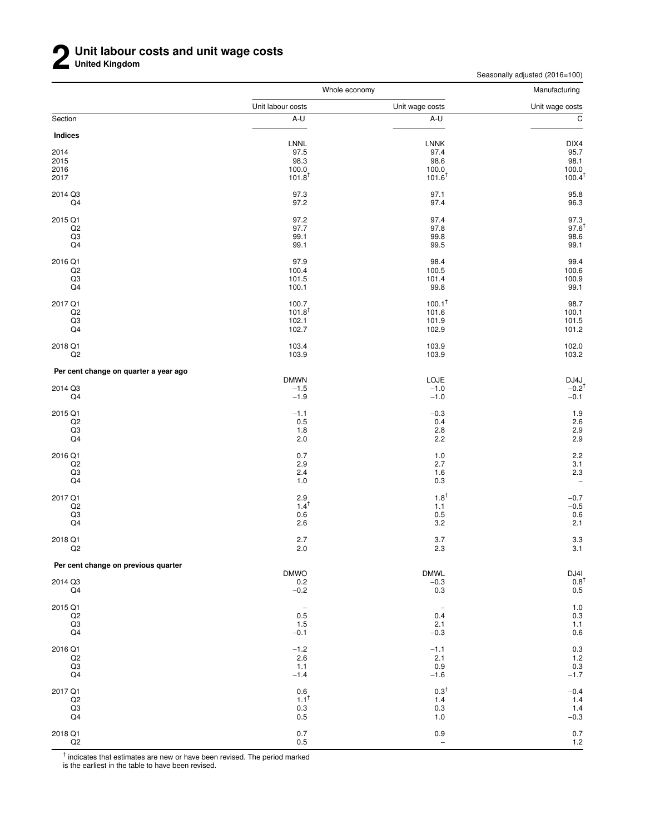Seasonally adjusted (2016=100)

|                                       | Whole economy               |                          | Manufacturing                                                    |  |
|---------------------------------------|-----------------------------|--------------------------|------------------------------------------------------------------|--|
|                                       | Unit labour costs           | Unit wage costs          | Unit wage costs                                                  |  |
| Section                               | A-U                         | A-U                      | $\overline{c}$                                                   |  |
| Indices                               |                             |                          |                                                                  |  |
|                                       | LNNL                        | <b>LNNK</b>              | DIX4                                                             |  |
| 2014<br>2015                          | 97.5<br>98.3                | 97.4<br>98.6             | 95.7<br>98.1                                                     |  |
| 2016                                  | 100.0                       | 100.0                    | 100.0                                                            |  |
| 2017                                  | $101.8^{T}$                 | $101.6^{\dagger}$        | 100.4 <sup>†</sup>                                               |  |
| 2014 Q3                               | 97.3                        | 97.1                     | 95.8                                                             |  |
| Q4                                    | 97.2                        | 97.4                     | 96.3                                                             |  |
| 2015 Q1                               | 97.2                        | 97.4                     | $97.3$<br>$97.6$ <sup>t</sup><br>$98.6$                          |  |
| Q2                                    | 97.7                        | 97.8                     |                                                                  |  |
| Q3<br>Q4                              | 99.1<br>99.1                | 99.8<br>99.5             | 99.1                                                             |  |
|                                       |                             |                          |                                                                  |  |
| 2016 Q1<br>Q2                         | 97.9<br>100.4               | 98.4<br>100.5            | 99.4<br>100.6                                                    |  |
| Q3                                    | 101.5                       | 101.4                    | 100.9                                                            |  |
| Q4                                    | 100.1                       | 99.8                     | 99.1                                                             |  |
| 2017 Q1                               | 100.7                       | $100.1^{\dagger}$        | 98.7                                                             |  |
| Q2                                    | $101.8^{+}$                 | 101.6                    | 100.1                                                            |  |
| $_{\rm Q3}$                           | 102.1                       | 101.9                    | 101.5                                                            |  |
| Q <sub>4</sub>                        | 102.7                       | 102.9                    | 101.2                                                            |  |
| 2018 Q1                               | 103.4                       | 103.9                    | 102.0                                                            |  |
| Q2                                    | 103.9                       | 103.9                    | 103.2                                                            |  |
| Per cent change on quarter a year ago | <b>DMWN</b>                 | LOJE                     |                                                                  |  |
| 2014 Q3                               | $-1.5$                      | $-1.0$                   | $DJ4J$<br>-0.2 <sup>t</sup>                                      |  |
| Q4                                    | $-1.9$                      | $-1.0$                   | $-0.1$                                                           |  |
| 2015 Q1                               | $-1.1$                      | $-0.3$                   | $1.9$                                                            |  |
| Q2                                    | 0.5                         | 0.4                      | 2.6                                                              |  |
| Q3<br>Q4                              | 1.8<br>2.0                  | 2.8<br>2.2               | $\frac{2.9}{2.9}$                                                |  |
| 2016 Q1                               | 0.7                         | 1.0                      | 2.2                                                              |  |
| Q2                                    | 2.9                         | 2.7                      |                                                                  |  |
| Q3                                    | 2.4                         | 1.6                      | $\frac{3.1}{2.3}$                                                |  |
| Q4                                    | 1.0                         | 0.3                      | $\overline{\phantom{0}}$                                         |  |
| 2017 Q1                               | $^{2.9}_{1.4}$ <sup>†</sup> | $1.8^{\dagger}$          | $-0.7$                                                           |  |
| Q2                                    |                             | 1.1                      | $-0.5$                                                           |  |
| Q3<br>Q4                              | 0.6<br>2.6                  | 0.5<br>3.2               | $0.6\,$<br>2.1                                                   |  |
|                                       |                             |                          |                                                                  |  |
| 2018 Q1<br>Q2                         | 2.7<br>2.0                  | 3.7<br>2.3               | 3.3<br>3.1                                                       |  |
| Per cent change on previous quarter   |                             |                          |                                                                  |  |
|                                       | <b>DMWO</b>                 | <b>DMWL</b>              | $\begin{array}{c} \text{DJ4I} \\ 0.8^\dagger \\ 0.5 \end{array}$ |  |
| 2014 Q3                               | 0.2                         | $-0.3$                   |                                                                  |  |
| Q4                                    | $-0.2$                      | 0.3                      |                                                                  |  |
| 2015 Q1                               | $\overline{\phantom{a}}$    | $\overline{\phantom{m}}$ | $\begin{array}{c} 1.0 \\ 0.3 \end{array}$                        |  |
| Q2<br>Q3                              | 0.5<br>1.5                  | 0.4<br>2.1               | 1.1                                                              |  |
| Q <sub>4</sub>                        | $-0.1$                      | $-0.3$                   | $0.6\,$                                                          |  |
| 2016 Q1                               | $-1.2$                      | $-1.1$                   | 0.3                                                              |  |
| Q2                                    | 2.6                         | 2.1                      | $1.2$                                                            |  |
| Q3                                    | 1.1                         | 0.9                      | $0.\overline{3}$<br>-1.7                                         |  |
| Q4                                    | $-1.4$                      | $-1.6$                   |                                                                  |  |
| 2017 Q1                               | 0.6                         | $0.3^{\dagger}$          | $-0.4$                                                           |  |
| Q2                                    | $1.1^{\dagger}$             | 1.4                      | 1.4                                                              |  |
| Q3<br>Q4                              | 0.3<br>$0.5\,$              | 0.3<br>1.0               | 1.4<br>$-0.3$                                                    |  |
| 2018 Q1                               | $0.7\,$                     |                          | $0.7\,$                                                          |  |
| $_{\rm Q2}$                           | 0.5                         | 0.9<br>$\qquad \qquad -$ | 1.2                                                              |  |

<sup>†</sup> indicates that estimates are new or have been revised. The period marked

is the earliest in the table to have been revised.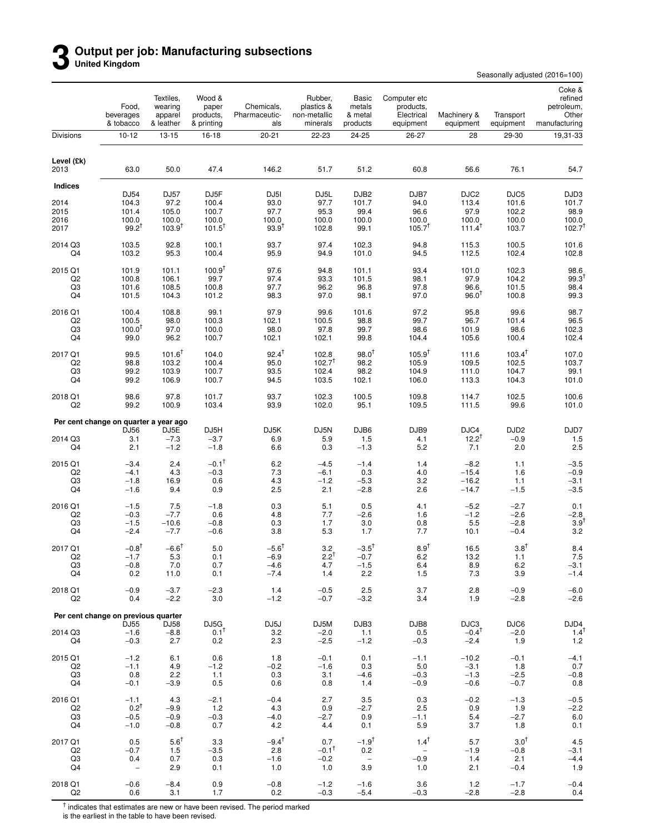### **3 Output per job: Manufacturing subsections United Kingdom**

Seasonally adjusted (2016=100)

|                      | Food,<br>beverages<br>& tobacco       | Textiles,<br>wearing<br>apparel<br>& leather | Wood &<br>paper<br>products,<br>& printing | Chemicals,<br>Pharmaceutic-<br>als | Rubber,<br>plastics &<br>non-metallic<br>minerals | Basic<br>metals<br>& metal<br>products | Computer etc<br>products,<br>Electrical<br>equipment | Machinery &<br>equipment              | Transport<br>equipment            | Coke &<br>refined<br>petroleum,<br>Other<br>manufacturing |
|----------------------|---------------------------------------|----------------------------------------------|--------------------------------------------|------------------------------------|---------------------------------------------------|----------------------------------------|------------------------------------------------------|---------------------------------------|-----------------------------------|-----------------------------------------------------------|
| Divisions            | $10 - 12$                             | 13-15                                        | $16 - 18$                                  | $20 - 21$                          | 22-23                                             | 24-25                                  | 26-27                                                | 28                                    | 29-30                             | 19,31-33                                                  |
| Level (£k)<br>2013   | 63.0                                  | 50.0                                         | 47.4                                       | 146.2                              | 51.7                                              | 51.2                                   | 60.8                                                 | 56.6                                  | 76.1                              | 54.7                                                      |
| <b>Indices</b>       |                                       |                                              |                                            |                                    |                                                   |                                        |                                                      |                                       |                                   |                                                           |
| 2014                 | DJ54<br>104.3                         | <b>DJ57</b><br>97.2                          | DJ <sub>5F</sub><br>100.4                  | DJ <sub>5</sub> I<br>93.0          | DJ5L<br>97.7                                      | DJB <sub>2</sub><br>101.7              | DJB7<br>94.0                                         | DJC <sub>2</sub><br>113.4             | DJC5<br>101.6                     | DJD3<br>101.7                                             |
| 2015                 | 101.4                                 | 105.0                                        | 100.7                                      | 97.7                               | 95.3                                              | 99.4                                   | 96.6                                                 | 97.9                                  | 102.2                             | 98.9                                                      |
| 2016<br>2017         | 100.0<br>$99.2^{T}$                   | 100.0<br>$103.9^{T}$                         | 100.0<br>$101.5^T$                         | 100.0<br>$93.9^{T}$                | 100.0<br>102.8                                    | 100.0<br>99.1                          | 100.0<br>$105.7^T$                                   | 100.0<br>$111.4^T$                    | 100.0<br>103.7                    | 100.0<br>102.7 <sup>†</sup>                               |
| 2014 Q3<br>Q4        | 103.5<br>103.2                        | 92.8<br>95.3                                 | 100.1<br>100.4                             | 93.7<br>95.9                       | 97.4<br>94.9                                      | 102.3<br>101.0                         | 94.8<br>94.5                                         | 115.3<br>112.5                        | 100.5<br>102.4                    | 101.6<br>102.8                                            |
| 2015 Q1              | 101.9                                 | 101.1                                        | $100.9^{\dagger}$                          | 97.6                               | 94.8                                              | 101.1                                  | 93.4                                                 | 101.0                                 | 102.3                             | 98.6                                                      |
| Q <sub>2</sub><br>Q3 | 100.8<br>101.6                        | 106.1<br>108.5                               | 99.7<br>100.8                              | 97.4<br>97.7                       | 93.3<br>96.2                                      | 101.5<br>96.8                          | 98.1<br>97.8                                         | 97.9<br>96.6                          | 104.2<br>101.5                    | 99.3<br>98.4                                              |
| Q4                   | 101.5                                 | 104.3                                        | 101.2                                      | 98.3                               | 97.0                                              | 98.1                                   | 97.0                                                 | $96.0^{\dagger}$                      | 100.8                             | 99.3                                                      |
| 2016 Q1              | 100.4                                 | 108.8                                        | 99.1                                       | 97.9                               | 99.6                                              | 101.6                                  | 97.2                                                 | 95.8                                  | 99.6                              | 98.7                                                      |
| Q <sub>2</sub><br>Q3 | 100.5<br>$100.0^{\mathrm{T}}$         | 98.0<br>97.0                                 | 100.3                                      | 102.1<br>98.0                      | 100.5<br>97.8                                     | 98.8                                   | 99.7<br>98.6                                         | 96.7                                  | 101.4<br>98.6                     | 96.5<br>102.3                                             |
| Q4                   | 99.0                                  | 96.2                                         | 100.0<br>100.7                             | 102.1                              | 102.1                                             | 99.7<br>99.8                           | 104.4                                                | 101.9<br>105.6                        | 100.4                             | 102.4                                                     |
| 2017 Q1              | 99.5                                  | $101.6^T$                                    | 104.0                                      | $92.4^{+}$                         | 102.8                                             | $98.0^{T}$                             | $105.9^{T}$                                          | 111.6                                 | $103.4^{T}$                       | 107.0                                                     |
| Q <sub>2</sub>       | 98.8                                  | 103.2                                        | 100.4                                      | 95.0                               | $102.7^{T}$                                       | 98.2                                   | 105.9                                                | 109.5                                 | 102.5                             | 103.7                                                     |
| Q3<br>Q4             | 99.2<br>99.2                          | 103.9<br>106.9                               | 100.7<br>100.7                             | 93.5<br>94.5                       | 102.4<br>103.5                                    | 98.2<br>102.1                          | 104.9<br>106.0                                       | 111.0<br>113.3                        | 104.7<br>104.3                    | 99.1<br>101.0                                             |
| 2018 Q1<br>Q2        | 98.6<br>99.2                          | 97.8<br>100.9                                | 101.7<br>103.4                             | 93.7<br>93.9                       | 102.3<br>102.0                                    | 100.5<br>95.1                          | 109.8<br>109.5                                       | 114.7<br>111.5                        | 102.5<br>99.6                     | 100.6<br>101.0                                            |
|                      | Per cent change on quarter a year ago |                                              |                                            |                                    |                                                   |                                        |                                                      |                                       |                                   |                                                           |
| 2014 Q3<br>Q4        | DJ56<br>3.1<br>2.1                    | DJ5E<br>$-7.3$<br>$-1.2$                     | DJ5H<br>$-3.7$<br>$-1.8$                   | DJ5K<br>6.9<br>6.6                 | DJ5N<br>5.9<br>0.3                                | DJB6<br>1.5<br>$-1.3$                  | DJB9<br>4.1<br>5.2                                   | DJC4<br>$12.2^{T}$<br>7.1             | DJD <sub>2</sub><br>$-0.9$<br>2.0 | DJD7<br>1.5<br>2.5                                        |
| 2015 Q1              | $-3.4$                                | 2.4                                          | $-0.1$ <sup>†</sup>                        | 6.2                                | $-4.5$                                            | $-1.4$                                 | 1.4                                                  | $-8.2$                                | 1.1                               | $-3.5$                                                    |
| Q <sub>2</sub><br>Q3 | $-4.1$<br>$-1.8$                      | 4.3<br>16.9                                  | $-0.3$<br>0.6                              | 7.3<br>4.3                         | $-6.1$<br>$-1.2$                                  | 0.3<br>$-5.3$                          | 4.0<br>3.2                                           | $-15.4$<br>$-16.2$                    | 1.6<br>1.1                        | $-0.9$<br>$-3.1$                                          |
| Q4                   | $-1.6$                                | 9.4                                          | 0.9                                        | 2.5                                | 2.1                                               | $-2.8$                                 | 2.6                                                  | $-14.7$                               | $-1.5$                            | $-3.5$                                                    |
| 2016 Q1              | $-1.5$                                | 7.5                                          | $-1.8$                                     | 0.3                                | 5.1                                               | 0.5                                    | 4.1                                                  | $-5.2$                                | $-2.7$                            | 0.1                                                       |
| Q <sub>2</sub><br>Q3 | $-0.3$<br>$-1.5$                      | $-7.7$<br>$-10.6$                            | 0.6<br>$-0.8$                              | 4.8<br>0.3                         | 7.7<br>1.7                                        | $-2.6$<br>3.0                          | 1.6<br>0.8                                           | $-1.2$                                | $-2.6$                            | $-2.8$<br>$3.9^{\dagger}$                                 |
| Q4                   | $-2.4$                                | $-7.7$                                       | $-0.6$                                     | 3.8                                | 5.3                                               | 1.7                                    | 7.7                                                  | 5.5<br>10.1                           | $-2.8$<br>$-0.4$                  | 3.2                                                       |
| 2017 Q1              | $-0.8^{\dagger}$                      | $-6.6^{\dagger}$                             | 5.0                                        | $-5.6^{\dagger}$                   | 3.2                                               | $-3.5^{\dagger}$                       | $8.9^{\dagger}$                                      | 16.5                                  | $3.8^{\dagger}$                   | 8.4                                                       |
| Q2<br>Q3             | $-1.7$<br>$-0.8$                      | 5.3                                          | 0.1<br>0.7                                 | $-6.9$<br>$-4.6$                   | $2.2^{+}$<br>4.7                                  | $-0.7$<br>$-1.5$                       | 6.2                                                  | 13.2                                  | 1.1                               | 7.5                                                       |
| Q4                   | 0.2                                   | 7.0<br>11.0                                  | 0.1                                        | $-7.4$                             | 1.4                                               | 2.2                                    | 6.4<br>1.5                                           | 8.9<br>7.3                            | 6.2<br>3.9                        | $-3.1$<br>$-1.4$                                          |
| 2018 Q1<br>Q2        | $-0.9$<br>0.4                         | $-3.7$<br>$-2.2$                             | $-2.3$<br>3.0                              | 1.4<br>$-1.2$                      | $-0.5$<br>$-0.7$                                  | 2.5<br>$-3.2$                          | 3.7<br>3.4                                           | 2.8<br>1.9                            | $-0.9$<br>$-2.8$                  | $-6.0$<br>$-2.6$                                          |
|                      | Per cent change on previous quarter   |                                              |                                            |                                    |                                                   |                                        |                                                      |                                       |                                   |                                                           |
| 2014 Q3<br>Q4        | DJ55<br>$-1.6$<br>$-0.3$              | DJ58<br>$-8.8$<br>2.7                        | DJ5G<br>$0.1^T$<br>0.2                     | DJ5J<br>3.2<br>2.3                 | DJ5M<br>$-2.0$<br>$-2.5$                          | DJB3<br>1.1<br>$-1.2$                  | DJB8<br>0.5<br>$-0.3$                                | DJC3<br>$-0.4$ <sup>T</sup><br>$-2.4$ | DJC6<br>$-2.0$<br>1.9             | DJD4<br>$1.4^{\dagger}$<br>$1.2$                          |
| 2015 Q1              | $-1.2$                                | 6.1                                          | 0.6                                        | 1.8                                | $-0.1$                                            | 0.1                                    | $-1.1$                                               | $-10.2$                               | $-0.1$                            | $-4.1$                                                    |
| Q <sub>2</sub><br>Q3 | $-1.1$<br>0.8                         | 4.9<br>2.2                                   | $-1.2$<br>1.1                              | $-0.2$<br>0.3                      | $-1.6$<br>3.1                                     | 0.3<br>$-4.6$                          | 5.0<br>$-0.3$                                        | $-3.1$<br>$-1.3$                      | 1.8<br>$-2.5$                     | 0.7<br>$-0.8$                                             |
| Q4                   | $-0.1$                                | $-3.9$                                       | 0.5                                        | 0.6                                | 0.8                                               | 1.4                                    | $-0.9$                                               | $-0.6$                                | $-0.7$                            | 0.8                                                       |
| 2016 Q1              | $-1.1$                                | 4.3                                          | $-2.1$                                     | $-0.4$                             | 2.7                                               | 3.5                                    | 0.3                                                  | $-0.2$                                | $-1.3$                            | $-0.5$                                                    |
| Q2                   | $0.2^{T}$                             | $-9.9$                                       | 1.2                                        | 4.3                                | 0.9                                               | $-2.7$                                 | 2.5                                                  | 0.9                                   | 1.9                               | $-2.2$                                                    |
| Q3<br>Q4             | $-0.5$<br>$-1.0$                      | $-0.9$<br>$-0.8$                             | $-0.3$<br>0.7                              | $-4.0$<br>4.2                      | $-2.7$<br>4.4                                     | 0.9<br>0.1                             | $-1.1$<br>5.9                                        | 5.4<br>3.7                            | $-2.7$<br>1.8                     | 6.0<br>0.1                                                |
| 2017 Q1              | 0.5                                   | $5.6^{\dagger}$                              | 3.3                                        | $-9.4^{\dagger}$                   | 0.7                                               | $-1.9$ <sup>†</sup>                    | $1.4^{\dagger}$                                      | 5.7                                   | $3.0^{+}$                         | 4.5                                                       |
| Q2                   | $-0.7$                                | 1.5                                          | $-3.5$                                     | 2.8                                | $-0.1$ <sup>T</sup>                               | 0.2                                    | $\sim$ $-$                                           | $-1.9$                                | $-0.8$                            | $-3.1$                                                    |
| Q3<br>Q4             | 0.4<br>$\overline{\phantom{a}}$       | 0.7<br>2.9                                   | 0.3<br>0.1                                 | $-1.6$<br>1.0                      | $-0.2$<br>1.0                                     | $\hspace{0.1mm}-\hspace{0.1mm}$<br>3.9 | $-0.9$<br>1.0                                        | 1.4<br>2.1                            | 2.1<br>$-0.4$                     | $-4.4$<br>1.9                                             |
| 2018 Q1              | $-0.6$                                | $-8.4$                                       | 0.9                                        | $-0.8$                             | $-1.2$                                            | $-1.6$                                 | 3.6                                                  | 1.2                                   | $-1.7$                            | $-0.4$                                                    |
| Q <sub>2</sub>       | 0.6                                   | 3.1                                          | 1.7                                        | 0.2                                | $-0.3$                                            | $-5.4$                                 | $-0.3$                                               | $-2.8$                                | $-2.8$                            | 0.4                                                       |

<sup>†</sup> indicates that estimates are new or have been revised. The period marked<br>is the earliest in the table to have been revised.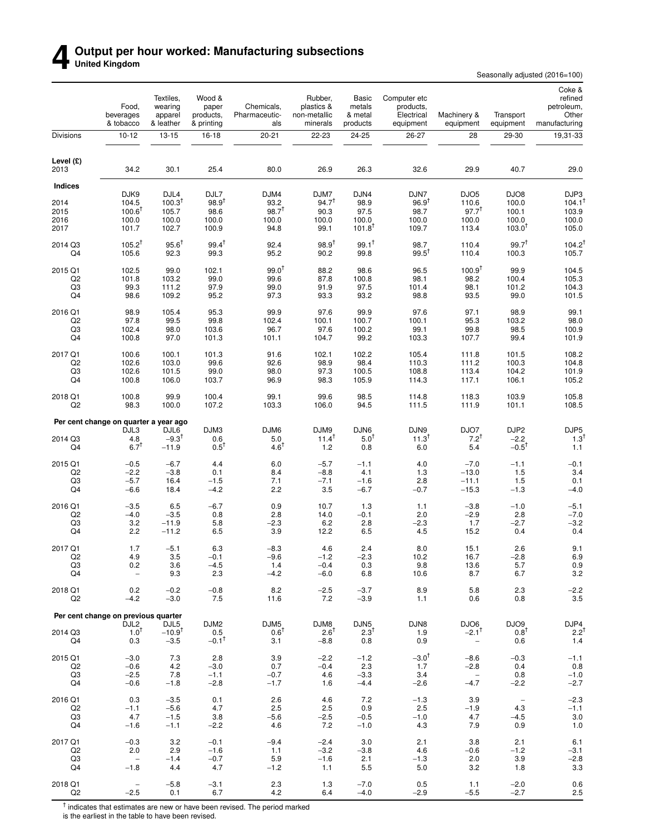### **4** Output per hour worked: Manufacturing subsections<br>United Kingdom **United Kingdom**

Seasonally adjusted (2016=100)

|                           | Food,<br>beverages<br>& tobacco               | Textiles,<br>wearing<br>apparel<br>& leather | Wood &<br>paper<br>products,<br>& printing     | Chemicals,<br>Pharmaceutic-<br>als | Rubber,<br>plastics &<br>non-metallic<br>minerals | Basic<br>metals<br>& metal<br>products     | Computer etc<br>products,<br>Electrical<br>equipment | Machinery &<br>equipment                                | Transport<br>equipment                     | Coke &<br>refined<br>petroleum,<br>Other<br>manufacturing |
|---------------------------|-----------------------------------------------|----------------------------------------------|------------------------------------------------|------------------------------------|---------------------------------------------------|--------------------------------------------|------------------------------------------------------|---------------------------------------------------------|--------------------------------------------|-----------------------------------------------------------|
| Divisions                 | $10 - 12$                                     | 13-15                                        | 16-18                                          | $20 - 21$                          | 22-23                                             | 24-25                                      | 26-27                                                | 28                                                      | 29-30                                      | 19,31-33                                                  |
| Level (£)<br>2013         | 34.2                                          | 30.1                                         | 25.4                                           | 80.0                               | 26.9                                              | 26.3                                       | 32.6                                                 | 29.9                                                    | 40.7                                       | 29.0                                                      |
| <b>Indices</b>            |                                               |                                              |                                                |                                    |                                                   |                                            |                                                      |                                                         |                                            |                                                           |
| 2014                      | DJK9<br>104.5                                 | DJL4<br>$100.3^T$                            | DJL7<br>$98.9^{†}$                             | DJM4<br>93.2                       | DJM7<br>$94.7^{+}$                                | DJN4<br>98.9                               | DJN7<br>$96.9^{†}$                                   | DJO <sub>5</sub><br>110.6                               | DJO8<br>100.0                              | DJP3<br>104.1 <sup>1</sup>                                |
| 2015                      | $100.6^T$                                     | 105.7                                        | 98.6                                           | $98.7^{T}$                         | 90.3                                              | 97.5                                       | 98.7                                                 | $97.7^{T}$                                              | 100.1                                      | 103.9                                                     |
| 2016<br>2017              | 100.0<br>101.7                                | 100.0<br>102.7                               | 100.0<br>100.9                                 | 100.0<br>94.8                      | 100.0<br>99.1                                     | 100.0<br>$101.8^{T}$                       | 100.0<br>109.7                                       | 100.0<br>113.4                                          | 100.0<br>$103.0^{T}$                       | 100.0<br>105.0                                            |
| 2014 Q3<br>Q4             | $105.2^{T}$<br>105.6                          | $95.6^{\dagger}$<br>92.3                     | $99.4^{\dagger}$<br>99.3                       | 92.4<br>95.2                       | $98.9^{+}$<br>90.2                                | $99.1^{\dagger}$<br>99.8                   | 98.7<br>$99.5^T$                                     | 110.4<br>110.4                                          | 99.7 <sup>†</sup><br>100.3                 | 104.2 <sup>1</sup><br>105.7                               |
| 2015 Q1                   | 102.5                                         | 99.0                                         | 102.1                                          | $99.0^{\dagger}$                   | 88.2                                              | 98.6                                       | 96.5                                                 | $100.9^{T}$                                             | 99.9                                       | 104.5                                                     |
| Q <sub>2</sub>            | 101.8                                         | 103.2                                        | 99.0                                           | 99.6                               | 87.8                                              | 100.8                                      | 98.1                                                 | 98.2                                                    | 100.4                                      | 105.3                                                     |
| Q3<br>Q4                  | 99.3<br>98.6                                  | 111.2<br>109.2                               | 97.9<br>95.2                                   | 99.0<br>97.3                       | 91.9<br>93.3                                      | 97.5<br>93.2                               | 101.4<br>98.8                                        | 98.1<br>93.5                                            | 101.2<br>99.0                              | 104.3<br>101.5                                            |
| 2016 Q1                   | 98.9                                          | 105.4                                        | 95.3                                           | 99.9                               | 97.6                                              | 99.9                                       | 97.6                                                 | 97.1                                                    | 98.9                                       | 99.1                                                      |
| Q <sub>2</sub>            | 97.8                                          | 99.5                                         | 99.8                                           | 102.4                              | 100.1                                             | 100.7                                      | 100.1                                                | 95.3                                                    | 103.2                                      | 98.0                                                      |
| Q3<br>Q4                  | 102.4<br>100.8                                | 98.0<br>97.0                                 | 103.6<br>101.3                                 | 96.7<br>101.1                      | 97.6<br>104.7                                     | 100.2<br>99.2                              | 99.1<br>103.3                                        | 99.8<br>107.7                                           | 98.5<br>99.4                               | 100.9<br>101.9                                            |
| 2017 Q1                   | 100.6                                         | 100.1                                        | 101.3                                          | 91.6                               | 102.1                                             | 102.2                                      | 105.4                                                | 111.8                                                   | 101.5                                      | 108.2                                                     |
| Q <sub>2</sub>            | 102.6                                         | 103.0                                        | 99.6                                           | 92.6                               | 98.9                                              | 98.4                                       | 110.3                                                | 111.2                                                   | 100.3                                      | 104.8                                                     |
| Q3<br>Q4                  | 102.6<br>100.8                                | 101.5<br>106.0                               | 99.0<br>103.7                                  | 98.0<br>96.9                       | 97.3<br>98.3                                      | 100.5<br>105.9                             | 108.8<br>114.3                                       | 113.4<br>117.1                                          | 104.2<br>106.1                             | 101.9<br>105.2                                            |
| 2018 Q1<br>Q2             | 100.8<br>98.3                                 | 99.9<br>100.0                                | 100.4<br>107.2                                 | 99.1<br>103.3                      | 99.6<br>106.0                                     | 98.5<br>94.5                               | 114.8<br>111.5                                       | 118.3<br>111.9                                          | 103.9<br>101.1                             | 105.8<br>108.5                                            |
|                           |                                               |                                              |                                                |                                    |                                                   |                                            |                                                      |                                                         |                                            |                                                           |
|                           | Per cent change on quarter a year ago<br>DJL3 | DJL6                                         | DJM3                                           | DJM6                               | DJM9                                              | DJN6                                       | DJN9                                                 | DJO7                                                    | DJP2                                       | DJP5                                                      |
| 2014 Q3<br>Q4             | 4.8<br>$6.7^{\mathsf{T}}$                     | $-9.3$ <sup>T</sup><br>$-11.9$               | 0.6<br>$0.5^{\dagger}$                         | 5.0<br>$4.6^{\mathsf{T}}$          | $11.4^T$<br>1.2                                   | 5.0 <sup>T</sup><br>0.8                    | $11.3^{T}$<br>6.0                                    | $7.2^{T}$<br>5.4                                        | $-2.2$<br>$-0.5^{\dagger}$                 | $1.3^{\dagger}$<br>1.1                                    |
| 2015 Q1                   | $-0.5$                                        | $-6.7$                                       | 4.4                                            | 6.0                                | $-5.7$                                            | $-1.1$                                     | 4.0                                                  | $-7.0$                                                  | $-1.1$                                     | $-0.1$                                                    |
| Q <sub>2</sub><br>Q3      | $-2.2$<br>$-5.7$                              | $-3.8$<br>16.4                               | 0.1<br>$-1.5$                                  | 8.4<br>7.1                         | $-8.8$<br>$-7.1$                                  | 4.1<br>$-1.6$                              | 1.3<br>2.8                                           | $-13.0$<br>$-11.1$                                      | 1.5<br>1.5                                 | 3.4<br>0.1                                                |
| Q4                        | $-6.6$                                        | 18.4                                         | $-4.2$                                         | 2.2                                | 3.5                                               | $-6.7$                                     | $-0.7$                                               | $-15.3$                                                 | $-1.3$                                     | $-4.0$                                                    |
| 2016 Q1                   | $-3.5$                                        | 6.5                                          | $-6.7$                                         | 0.9                                | 10.7                                              | 1.3                                        | 1.1                                                  | $-3.8$                                                  | $-1.0$                                     | $-5.1$                                                    |
| Q2<br>Q3                  | $-4.0$<br>3.2                                 | $-3.5$<br>$-11.9$                            | 0.8<br>5.8                                     | 2.8<br>$-2.3$                      | 14.0<br>6.2                                       | $-0.1$<br>2.8                              | 2.0<br>$-2.3$                                        | $-2.9$<br>1.7                                           | 2.8<br>$-2.7$                              | $-7.0$<br>$-3.2$                                          |
| Q4                        | 2.2                                           | $-11.2$                                      | 6.5                                            | 3.9                                | 12.2                                              | 6.5                                        | 4.5                                                  | 15.2                                                    | 0.4                                        | 0.4                                                       |
| 2017 Q1                   | 1.7                                           | $-5.1$                                       | 6.3                                            | $-8.3$                             | 4.6                                               | 2.4                                        | 8.0                                                  | 15.1                                                    | 2.6                                        | 9.1                                                       |
| Q2<br>Q3                  | 4.9<br>0.2                                    | 3.5<br>3.6                                   | $-0.1$<br>$-4.5$                               | -9.6<br>1.4                        | $-1.2$<br>$-0.4$                                  | $-2.3$<br>0.3                              | 10.2<br>9.8                                          | 16.7<br>13.6                                            | $-2.8$<br>5.7                              | 6.9<br>0.9                                                |
| Q4                        | $\overline{\phantom{a}}$                      | 9.3                                          | 2.3                                            | $-4.2$                             | $-6.0$                                            | 6.8                                        | 10.6                                                 | 8.7                                                     | 6.7                                        | 3.2                                                       |
| 2018 Q1<br>Q <sub>2</sub> | 0.2<br>$-4.2$                                 | $-0.2$<br>$-3.0$                             | $-0.8$<br>7.5                                  | 8.2<br>11.6                        | $-2.5$<br>7.2                                     | $-3.7$<br>$-3.9$                           | 8.9<br>1.1                                           | 5.8<br>0.6                                              | 2.3<br>0.8                                 | $-2.2$<br>3.5                                             |
|                           | Per cent change on previous quarter           |                                              |                                                |                                    |                                                   |                                            |                                                      |                                                         |                                            |                                                           |
| 2014 Q3<br>Q4             | DJL <sub>2</sub><br>$1.0^{T}$<br>0.3          | DJL5<br>$-10.9$ <sup>t</sup><br>$-3.5$       | DJM <sub>2</sub><br>0.5<br>$-0.1$ <sup>T</sup> | DJM5<br>$0.6^{\dagger}$<br>3.1     | DJM8<br>$2.6^{\dagger}$<br>$-8.8$                 | DJN <sub>5</sub><br>$2.3^{\dagger}$<br>0.8 | DJN8<br>1.9<br>0.9                                   | DJO6<br>$-2.1$ <sup>T</sup><br>$\overline{\phantom{a}}$ | DJO <sub>9</sub><br>$0.8^{\dagger}$<br>0.6 | DJP4<br>$2.2^{T}$<br>1.4                                  |
| 2015 Q1                   | $-3.0$                                        | 7.3                                          | 2.8                                            | 3.9                                | $-2.2$                                            | $-1.2$                                     | $-3.0$ <sup>†</sup>                                  | $-8.6$                                                  | $-0.3$                                     | $-1.1$                                                    |
| Q <sub>2</sub><br>Q3      | $-0.6$<br>$-2.5$                              | 4.2<br>7.8                                   | $-3.0$<br>$-1.1$                               | 0.7<br>$-0.7$                      | $-0.4$<br>4.6                                     | 2.3<br>$-3.3$                              | 1.7<br>3.4                                           | $-2.8$<br>$\overline{\phantom{a}}$                      | 0.4<br>0.8                                 | 0.8<br>$-1.0$                                             |
| Q4                        | $-0.6$                                        | $-1.8$                                       | $-2.8$                                         | $-1.7$                             | 1.6                                               | $-4.4$                                     | $-2.6$                                               | $-4.7$                                                  | $-2.2$                                     | $-2.7$                                                    |
| 2016 Q1                   | 0.3                                           | $-3.5$                                       | 0.1                                            | 2.6                                | 4.6                                               | 7.2                                        | $-1.3$                                               | 3.9                                                     | $\hspace{0.1mm}-\hspace{0.1mm}$            | $-2.3$                                                    |
| Q <sub>2</sub><br>Q3      | $-1.1$<br>4.7                                 | $-5.6$<br>$-1.5$                             | 4.7<br>3.8                                     | 2.5<br>$-5.6$                      | 2.5<br>$-2.5$                                     | 0.9<br>$-0.5$                              | 2.5<br>$-1.0$                                        | $-1.9$<br>4.7                                           | 4.3<br>$-4.5$                              | $-1.1$<br>3.0                                             |
| Q4                        | $-1.6$                                        | $-1.1$                                       | $-2.2$                                         | 4.6                                | 7.2                                               | $-1.0$                                     | 4.3                                                  | 7.9                                                     | 0.9                                        | 1.0                                                       |
| 2017 Q1                   | $-0.3$                                        | 3.2                                          | $-0.1$                                         | $-9.4$                             | $-2.4$                                            | 3.0                                        | 2.1                                                  | 3.8                                                     | 2.1                                        | 6.1                                                       |
| Q <sub>2</sub><br>Q3      | 2.0<br>$\overline{\phantom{a}}$               | 2.9<br>$-1.4$                                | $-1.6$<br>$-0.7$                               | 1.1<br>5.9                         | $-3.2$<br>$-1.6$                                  | $-3.8$<br>2.1                              | 4.6<br>$-1.3$                                        | $-0.6$<br>2.0                                           | $-1.2$<br>3.9                              | $-3.1$<br>$-2.8$                                          |
| Q4                        | $-1.8$                                        | 4.4                                          | 4.7                                            | $-1.2$                             | 1.1                                               | 5.5                                        | 5.0                                                  | 3.2                                                     | 1.8                                        | 3.3                                                       |
| 2018 Q1<br>Q2             | $\overline{\phantom{a}}$<br>$-2.5$            | $-5.8$<br>0.1                                | $-3.1$<br>6.7                                  | 2.3<br>4.2                         | 1.3<br>6.4                                        | $-7.0$<br>$-4.0$                           | 0.5<br>$-2.9$                                        | 1.1<br>$-5.5$                                           | $-2.0$<br>$-2.7$                           | 0.6<br>2.5                                                |

<sup>†</sup> indicates that estimates are new or have been revised. The period marked<br>is the earliest in the table to have been revised.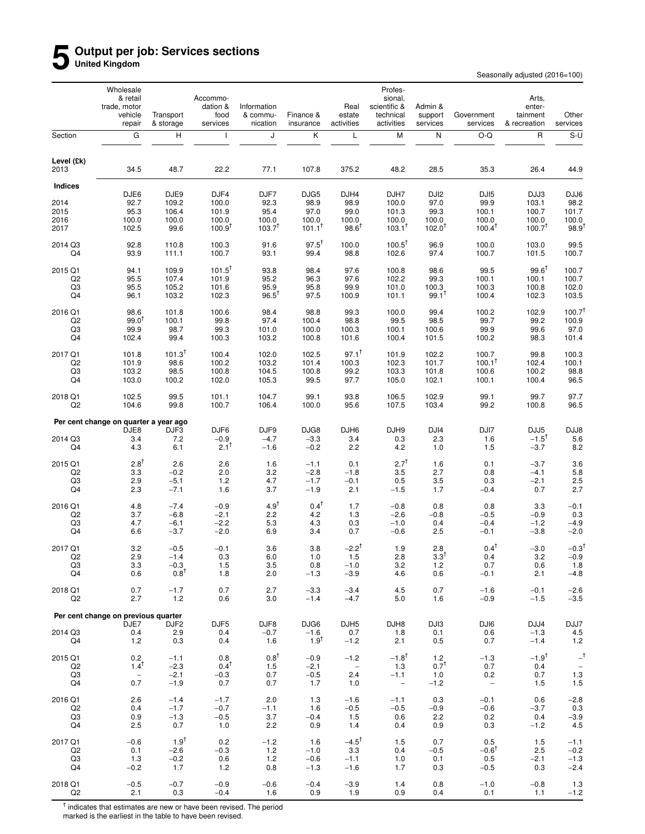### **5 Output per job: Services sections United Kingdom**

Seasonally adjusted (2016=100)

|                               | Wholesale<br>& retail<br>trade, motor<br>vehicle<br>repair | Transport<br>& storage | Accommo-<br>dation &<br>food<br>services | Information<br>& commu-<br>nication | Finance &<br>insurance | Real<br>estate<br>activities | Profes-<br>sional,<br>scientific &<br>technical<br>activities | Admin &<br>support<br>services | Government<br>services   | Arts,<br>enter-<br>tainment<br>& recreation | Other<br>services          |
|-------------------------------|------------------------------------------------------------|------------------------|------------------------------------------|-------------------------------------|------------------------|------------------------------|---------------------------------------------------------------|--------------------------------|--------------------------|---------------------------------------------|----------------------------|
| Section                       | G                                                          | н                      | $\mathsf{I}$                             | J                                   | Κ                      | L                            | M                                                             | N                              | O-Q                      | R                                           | $S-U$                      |
| Level (£k)<br>2013            | 34.5                                                       | 48.7                   | 22.2                                     | 77.1                                | 107.8                  | 375.2                        | 48.2                                                          | 28.5                           | 35.3                     | 26.4                                        | 44.9                       |
| <b>Indices</b>                |                                                            |                        |                                          |                                     |                        |                              |                                                               |                                |                          |                                             |                            |
| 2014                          | DJE6<br>92.7                                               | DJE9<br>109.2          | DJF4<br>100.0                            | DJF7<br>92.3                        | DJG5<br>98.9           | DJH4<br>98.9                 | DJH7<br>100.0                                                 | DJ <sub>12</sub><br>97.0       | DJI <sub>5</sub><br>99.9 | DJJ3<br>103.1                               | DJJ6<br>98.2               |
| 2015                          | 95.3                                                       | 106.4                  | 101.9                                    | 95.4                                | 97.0                   | 99.0                         | 101.3                                                         | 99.3                           | 100.1                    | 100.7                                       | 101.7                      |
| 2016<br>2017                  | 100.0<br>102.5                                             | 100.0<br>99.6          | 100.0<br>$100.9^{T}$                     | 100.0<br>$103.7^{T}$                | 100.0<br>$101.1^T$     | 100.0<br>$98.6^{\dagger}$    | 100.0<br>$103.1^T$                                            | 100.0<br>$102.0^T$             | 100.0<br>$100.4^T$       | 100.0<br>$100.7^T$                          | 100.0<br>$98.9^{\dagger}$  |
|                               |                                                            |                        |                                          |                                     |                        |                              |                                                               |                                |                          |                                             |                            |
| 2014 Q3                       | 92.8                                                       | 110.8                  | 100.3                                    | 91.6                                | $97.5^{\dagger}$       | 100.0                        | $100.5^{\dagger}$                                             | 96.9                           | 100.0                    | 103.0                                       | 99.5                       |
| Q4                            | 93.9                                                       | 111.1                  | 100.7                                    | 93.1                                | 99.4                   | 98.8                         | 102.6                                                         | 97.4                           | 100.7                    | 101.5                                       | 100.7                      |
| 2015 Q1                       | 94.1                                                       | 109.9                  | $101.5^{\dagger}$                        | 93.8                                | 98.4                   | 97.6                         | 100.8                                                         | 98.6                           | 99.5                     | $99.6^{\dagger}$                            | 100.7                      |
| Q <sub>2</sub><br>$_{\rm Q3}$ | 95.5<br>95.5                                               | 107.4<br>105.2         | 101.9<br>101.6                           | 95.2<br>95.9                        | 96.3<br>95.8           | 97.6<br>99.9                 | 102.2<br>101.0                                                | 99.3<br>100.3                  | 100.1<br>100.3           | 100.1<br>100.8                              | 100.7<br>102.0             |
| Q4                            | 96.1                                                       | 103.2                  | 102.3                                    | $96.5^{\dagger}$                    | 97.5                   | 100.9                        | 101.1                                                         | $99.1^{\dagger}$               | 100.4                    | 102.3                                       | 103.5                      |
| 2016 Q1                       | 98.6                                                       | 101.8                  | 100.6                                    | 98.4                                | 98.8                   | 99.3                         | 100.0                                                         | 99.4                           | 100.2                    | 102.9                                       | 100.7 <sup>†</sup>         |
| Q2                            | $99.0^{\dagger}$                                           | 100.1                  | 99.8                                     | 97.4                                | 100.4                  | 98.8                         | 99.5                                                          | 98.5                           | 99.7                     | 99.2                                        | 100.9                      |
| Q3                            | 99.9                                                       | 98.7                   | 99.3                                     | 101.0                               | 100.0                  | 100.3                        | 100.1                                                         | 100.6                          | 99.9                     | 99.6                                        | 97.0                       |
| Q4                            | 102.4                                                      | 99.4                   | 100.3                                    | 103.2                               | 100.8                  | 101.6                        | 100.4                                                         | 101.5                          | 100.2                    | 98.3                                        | 101.4                      |
| 2017 Q1                       | 101.8                                                      | $101.3^{T}$            | 100.4                                    | 102.0                               | 102.5                  | $97.1^{\dagger}$             | 101.9                                                         | 102.2                          | 100.7                    | 99.8                                        | 100.3                      |
| Q <sub>2</sub><br>Q3          | 101.9<br>103.2                                             | 98.6<br>98.5           | 100.2<br>100.8                           | 103.2<br>104.5                      | 101.4<br>100.8         | 100.3<br>99.2                | 102.3<br>103.3                                                | 101.7<br>101.8                 | $100.1^T$<br>100.6       | 102.4<br>100.2                              | 100.1<br>98.8              |
| Q4                            | 103.0                                                      | 100.2                  | 102.0                                    | 105.3                               | 99.5                   | 97.7                         | 105.0                                                         | 102.1                          | 100.1                    | 100.4                                       | 96.5                       |
| 2018 Q1<br>Q <sub>2</sub>     | 102.5<br>104.6                                             | 99.5<br>99.8           | 101.1<br>100.7                           | 104.7<br>106.4                      | 99.1<br>100.0          | 93.8<br>95.6                 | 106.5<br>107.5                                                | 102.9<br>103.4                 | 99.1<br>99.2             | 99.7<br>100.8                               | 97.7<br>96.5               |
|                               | Per cent change on quarter a year ago                      |                        |                                          |                                     |                        |                              |                                                               |                                |                          |                                             |                            |
|                               | DJE8                                                       | DJF3                   | DJF6                                     | DJF9                                | DJG8                   | DJH <sub>6</sub>             | DJH9                                                          | DJI4                           | DJI7                     | DJJ5                                        | DJJ8                       |
| 2014 Q3                       | 3.4                                                        | 7.2                    | $-0.9$                                   | $-4.7$                              | $-3.3$                 | 3.4                          | 0.3                                                           | 2.3                            | 1.6                      | $-1.5$ <sup>†</sup>                         | 5.6                        |
| Q4                            | 4.3                                                        | 6.1                    | $2.1^{\dagger}$                          | $-1.6$                              | $-0.2$                 | 2.2                          | 4.2                                                           | 1.0                            | 1.5                      | $-3.7$                                      | 8.2                        |
| 2015 Q1                       | $2.8^{\dagger}$                                            | 2.6                    | 2.6                                      | 1.6                                 | $-1.1$                 | 0.1                          | $2.7^{\dagger}$                                               | 1.6                            | 0.1                      | $-3.7$                                      | 3.6                        |
| Q <sub>2</sub><br>Q3          | 3.3<br>2.9                                                 | $-0.2$<br>$-5.1$       | 2.0<br>1.2                               | 3.2<br>4.7                          | $-2.8$<br>$-1.7$       | $-1.8$<br>$-0.1$             | 3.5<br>0.5                                                    | 2.7<br>3.5                     | 0.8<br>0.3               | $-4.1$<br>$-2.1$                            | 5.8<br>2.5                 |
| Q4                            | 2.3                                                        | $-7.1$                 | 1.6                                      | 3.7                                 | $-1.9$                 | 2.1                          | $-1.5$                                                        | 1.7                            | $-0.4$                   | 0.7                                         | 2.7                        |
| 2016 Q1                       | 4.8                                                        | $-7.4$                 | $-0.9$                                   | $4.9^{\dagger}$                     | $0.4^{\dagger}$        | 1.7                          | $-0.8$                                                        | 0.8                            | 0.8                      | 3.3                                         | $-0.1$                     |
| Q2                            | 3.7                                                        | $-6.8$                 | $-2.1$                                   | 2.2                                 | 4.2                    | 1.3                          | $-2.6$                                                        | $-0.8$                         | $-0.5$                   | $-0.9$                                      | 0.3                        |
| Q3<br>Q4                      | 4.7<br>6.6                                                 | $-6.1$<br>$-3.7$       | $-2.2$<br>$-2.0$                         | 5.3<br>6.9                          | 4.3<br>3.4             | 0.3<br>0.7                   | $-1.0$<br>$-0.6$                                              | 0.4<br>2.5                     | $-0.4$<br>$-0.1$         | $-1.2$<br>$-3.8$                            | $-4.9$<br>$-2.0$           |
|                               |                                                            |                        |                                          |                                     |                        |                              |                                                               |                                |                          |                                             |                            |
| 2017 Q1<br>Q2                 | 3.2<br>2.9                                                 | $-0.5$<br>$-1.4$       | $-0.1$<br>0.3                            | 3.6<br>6.0                          | 3.8<br>1.0             | $-2.2^{+}$<br>1.5            | 1.9<br>2.8                                                    | 2.8<br>$3.3^\top$              | $0.4^{\dagger}$<br>0.4   | $-3.0$<br>3.2                               | $-0.3^{\dagger}$<br>$-0.9$ |
| Q3                            | 3.3                                                        | $-0.3$                 | 1.5                                      | 3.5                                 | 0.8                    | $-1.0$                       | 3.2                                                           | 1.2                            | 0.7                      | 0.6                                         | 1.8                        |
| Q4                            | 0.6                                                        | $0.8^{\dagger}$        | 1.8                                      | 2.0                                 | $-1.3$                 | $-3.9$                       | 4.6                                                           | 0.6                            | $-0.1$                   | 2.1                                         | $-4.8$                     |
| 2018 Q1                       | 0.7                                                        | $-1.7$                 | 0.7                                      | 2.7                                 | $-3.3$                 | $-3.4$                       | 4.5                                                           | 0.7                            | $-1.6$                   | $-0.1$                                      | $-2.6$                     |
| Q2                            | 2.7                                                        | $1.2$                  | 0.6                                      | 3.0                                 | $-1.4$                 | $-4.7$                       | 5.0                                                           | 1.6                            | $-0.9$                   | $-1.5$                                      | $-3.5$                     |
|                               | Per cent change on previous quarter                        |                        |                                          |                                     |                        |                              |                                                               |                                |                          |                                             |                            |
| 2014 Q3                       | DJE7                                                       | DJF2<br>2.9            | DJF <sub>5</sub><br>0.4                  | DJF8<br>$-0.7$                      | DJG6<br>$-1.6$         | DJH <sub>5</sub><br>0.7      | DJH8                                                          | DJI3                           | DJI6<br>0.6              | DJJ4                                        | DJJ7                       |
| Q4                            | 0.4<br>$1.2$                                               | 0.3                    | 0.4                                      | 1.6                                 | $1.9^T$                | $-1.2$                       | 1.8<br>2.1                                                    | 0.1<br>0.5                     | 0.7                      | $-1.3$<br>$-1.4$                            | $4.5\,$<br>1.2             |
| 2015 Q1                       | 0.2                                                        |                        |                                          | $0.8^{\dagger}$                     |                        | $-1.2$                       | $-1.8$ <sup>t</sup>                                           |                                |                          | $-1.9$ <sup>t</sup>                         | $-$ <sup>†</sup>           |
| Q2                            | $1.4^{T}$                                                  | $-1.1$<br>$-2.3$       | 0.8<br>$0.4^{\mathsf{T}}$                | $1.5$                               | $-0.9$<br>$-2.1$       | $\overline{\phantom{a}}$     | 1.3                                                           | 1.2<br>$0.7^{T}$               | $-1.3$<br>0.7            | 0.4                                         | $\overline{\phantom{a}}$   |
| Q3                            | $\overline{\phantom{a}}$                                   | $-2.1$                 | $-0.3$                                   | 0.7                                 | $-0.5$                 | 2.4                          | $-1.1$                                                        | 1.0                            | 0.2                      | 0.7                                         | $1.3$                      |
| Q4                            | 0.7                                                        | $-1.9$                 | 0.7                                      | 0.7                                 | 1.7                    | 1.0                          | $\overline{\phantom{a}}$                                      | $-1.2$                         | $\overline{\phantom{a}}$ | 1.5                                         | $1.5$                      |
| 2016 Q1                       | 2.6                                                        | $-1.4$                 | $-1.7$                                   | 2.0                                 | 1.3                    | $-1.6$                       | $-1.1$                                                        | 0.3                            | $-0.1$                   | 0.6                                         | $-2.8$                     |
| Q2<br>Q3                      | 0.4<br>0.9                                                 | $-1.7$<br>$-1.3$       | $-0.7$<br>$-0.5$                         | $-1.1$<br>3.7                       | 1.6<br>$-0.4$          | $-0.5$<br>1.5                | $-0.5$<br>0.6                                                 | $-0.9$<br>2.2                  | $-0.6$<br>0.2            | $-3.7$<br>0.4                               | 0.3<br>$-3.9$              |
| Q4                            | 2.5                                                        | 0.7                    | 1.0                                      | 2.2                                 | 0.9                    | 1.4                          | 0.4                                                           | 0.9                            | 0.3                      | $-1.2$                                      | 4.5                        |
| 2017 Q1                       | $-0.6$                                                     | $1.9^{+}$              | 0.2                                      | $-1.2$                              | 1.6                    | $-4.5^{\dagger}$             | 1.5                                                           | 0.7                            | 0.5                      | 1.5                                         | $-1.1$                     |
| Q2                            | 0.1                                                        | $-2.6$                 | $-0.3$                                   | $1.2$                               | $-1.0$                 | 3.3                          | 0.4                                                           | $-0.5$                         | $-0.6^{\dagger}$         | 2.5                                         | $-0.2$                     |
| Q3                            | 1.3                                                        | $-0.2$                 | 0.6                                      | 1.2                                 | $-0.6$                 | $-1.1$                       | 1.0                                                           | 0.1                            | 0.5                      | $-2.1$                                      | $-1.3$                     |
| Q4                            | $-0.2$                                                     | 1.7                    | $1.2$                                    | 0.8                                 | $-1.3$                 | $-1.6$                       | 1.7                                                           | 0.3                            | $-0.5$                   | 0.3                                         | $-2.4$                     |
| 2018 Q1<br>Q <sub>2</sub>     | $-0.5$<br>2.1                                              | $-0.7$<br>0.3          | $-0.9$<br>$-0.4$                         | $-0.6$<br>1.6                       | $-0.4$<br>0.9          | $-3.9$<br>1.9                | 1.4<br>0.9                                                    | 0.8<br>0.4                     | $-1.0$<br>0.1            | $-0.8$<br>1.1                               | 1.3<br>$-1.2$              |

<sup>†</sup> indicates that estimates are new or have been revised. The period<br>marked is the earliest in the table to have been revised.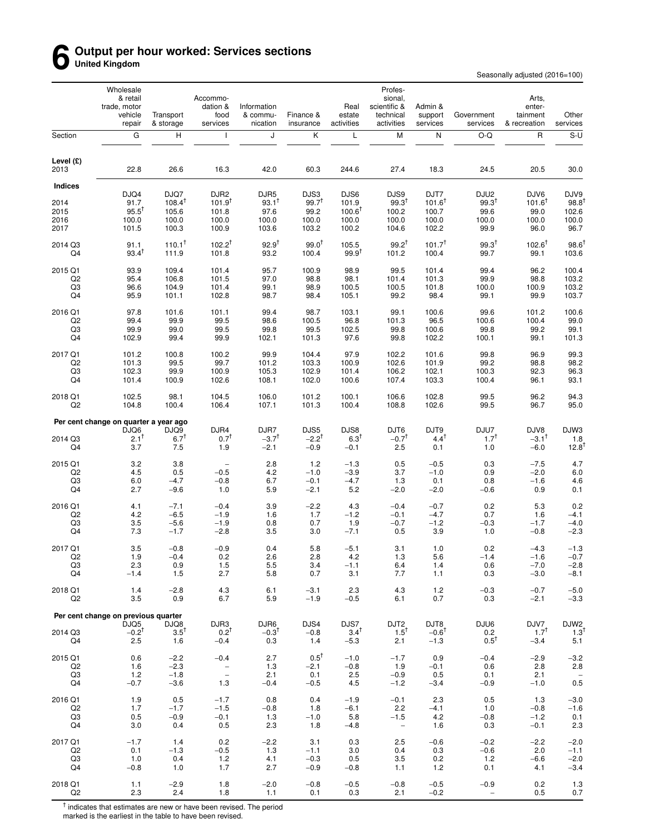### **6 Output per hour worked: Services sections United Kingdom**

Seasonally adjusted (2016=100)

|                           | Wholesale<br>& retail<br>trade, motor<br>vehicle<br>repair | Transport<br>& storage     | Accommo-<br>dation &<br>food<br>services | Information<br>& commu-<br>nication | Finance &<br>insurance    | Real<br>estate<br>activities | Profes-<br>sional,<br>scientific &<br>technical<br>activities | Admin &<br>support<br>services | Government<br>services   | Arts,<br>enter-<br>tainment<br>& recreation | Other<br>services               |
|---------------------------|------------------------------------------------------------|----------------------------|------------------------------------------|-------------------------------------|---------------------------|------------------------------|---------------------------------------------------------------|--------------------------------|--------------------------|---------------------------------------------|---------------------------------|
| Section                   | G                                                          | H                          | -1                                       | J                                   | Κ                         | L                            | M                                                             | Ν                              | O-Q                      | $\mathsf{R}$                                | $S-U$                           |
| Level $(E)$<br>2013       | 22.8                                                       | 26.6                       | 16.3                                     | 42.0                                | 60.3                      | 244.6                        | 27.4                                                          | 18.3                           | 24.5                     | 20.5                                        | 30.0                            |
| <b>Indices</b>            |                                                            |                            |                                          |                                     |                           |                              |                                                               |                                |                          |                                             |                                 |
| 2014                      | DJQ4<br>91.7                                               | DJQ7<br>$108.4^{\dagger}$  | DJR <sub>2</sub><br>$101.9^{T}$          | DJR5<br>$93.1^T$                    | DJS3<br>$99.7^{+}$        | DJS6<br>101.9                | DJS9<br>$99.3^{T}$                                            | DJT7<br>$101.6^T$              | DJU2<br>$99.3^{T}$       | DJV6<br>$101.6^T$                           | DJV9<br>98.8                    |
| 2015                      | $95.5^{\dagger}$                                           | 105.6                      | 101.8                                    | 97.6                                | 99.2                      | $100.6^T$                    | 100.2                                                         | 100.7                          | 99.6                     | 99.0                                        | 102.6                           |
| 2016                      | 100.0                                                      | 100.0                      | 100.0                                    | 100.0                               | 100.0                     | 100.0                        | 100.0                                                         | 100.0                          | 100.0                    | 100.0                                       | 100.0                           |
| 2017                      | 101.5                                                      | 100.3                      | 100.9                                    | 103.6                               | 103.2                     | 100.2                        | 104.6                                                         | 102.2                          | 99.9                     | 96.0                                        | 96.7                            |
| 2014 Q3<br>Q4             | 91.1<br>$93.4^{T}$                                         | $110.1^{\dagger}$<br>111.9 | $102.2^{T}$<br>101.8                     | $92.9^{†}$<br>93.2                  | $99.0^{\dagger}$<br>100.4 | 105.5<br>$99.9^{T}$          | $99.2^{t}$<br>101.2                                           | 101.7 <sup>†</sup><br>100.4    | $99.3^{\dagger}$<br>99.7 | $102.6^T$<br>99.1                           | $98.6$ <sup>1</sup><br>103.6    |
| 2015 Q1                   | 93.9                                                       | 109.4                      | 101.4                                    | 95.7                                | 100.9                     | 98.9                         | 99.5                                                          | 101.4                          | 99.4                     | 96.2                                        | 100.4                           |
| Q <sub>2</sub>            | 95.4                                                       | 106.8                      | 101.5                                    | 97.0                                | 98.8                      | 98.1                         | 101.4                                                         | 101.3                          | 99.9                     | 98.8                                        | 103.2                           |
| Q3                        | 96.6                                                       | 104.9                      | 101.4                                    | 99.1                                | 98.9                      | 100.5                        | 100.5                                                         | 101.8                          | 100.0                    | 100.9                                       | 103.2                           |
| Q4                        | 95.9                                                       | 101.1                      | 102.8                                    | 98.7                                | 98.4                      | 105.1                        | 99.2                                                          | 98.4                           | 99.1                     | 99.9                                        | 103.7                           |
| 2016 Q1                   | 97.8                                                       | 101.6                      | 101.1                                    | 99.4                                | 98.7                      | 103.1                        | 99.1                                                          | 100.6                          | 99.6                     | 101.2                                       | 100.6                           |
| Q <sub>2</sub>            | 99.4                                                       | 99.9                       | 99.5                                     | 98.6                                | 100.5                     | 96.8                         | 101.3                                                         | 96.5                           | 100.6                    | 100.4                                       | 99.0                            |
| Q3<br>Q4                  | 99.9<br>102.9                                              | 99.0<br>99.4               | 99.5<br>99.9                             | 99.8<br>102.1                       | 99.5<br>101.3             | 102.5<br>97.6                | 99.8<br>99.8                                                  | 100.6<br>102.2                 | 99.8<br>100.1            | 99.2<br>99.1                                | 99.1<br>101.3                   |
|                           |                                                            |                            |                                          |                                     |                           |                              |                                                               |                                |                          |                                             |                                 |
| 2017 Q1<br>Q <sub>2</sub> | 101.2<br>101.3                                             | 100.8<br>99.5              | 100.2<br>99.7                            | 99.9<br>101.2                       | 104.4<br>103.3            | 97.9<br>100.9                | 102.2<br>102.6                                                | 101.6<br>101.9                 | 99.8<br>99.2             | 96.9<br>98.8                                | 99.3<br>98.2                    |
| Q3                        | 102.3                                                      | 99.9                       | 100.9                                    | 105.3                               | 102.9                     | 101.4                        | 106.2                                                         | 102.1                          | 100.3                    | 92.3                                        | 96.3                            |
| Q4                        | 101.4                                                      | 100.9                      | 102.6                                    | 108.1                               | 102.0                     | 100.6                        | 107.4                                                         | 103.3                          | 100.4                    | 96.1                                        | 93.1                            |
| 2018 Q1<br>Q <sub>2</sub> | 102.5<br>104.8                                             | 98.1<br>100.4              | 104.5<br>106.4                           | 106.0<br>107.1                      | 101.2<br>101.3            | 100.1<br>100.4               | 106.6<br>108.8                                                | 102.8<br>102.6                 | 99.5<br>99.5             | 96.2<br>96.7                                | 94.3<br>95.0                    |
|                           | Per cent change on quarter a year ago                      |                            |                                          |                                     |                           |                              |                                                               |                                |                          |                                             |                                 |
|                           | DJQ6                                                       | DJQ9                       | DJR4                                     | DJR7                                | DJS5                      | DJS8                         | DJT6                                                          | DJT9                           | DJU7                     | DJV8                                        | DJW3                            |
| 2014 Q3<br>Q4             | $2.1^T$<br>3.7                                             | $6.7^{T}$<br>7.5           | $0.7^{\dagger}$<br>1.9                   | $-3.7†$<br>$-2.1$                   | $-2.2^{T}$<br>$-0.9$      | 6.3 <sup>T</sup><br>$-0.1$   | $-0.7$ <sup>T</sup><br>2.5                                    | $4.4^{\dagger}$<br>0.1         | $1.7^{\dagger}$<br>1.0   | $-3.1$ <sup>T</sup><br>$-6.0$               | 1.8<br>12.8                     |
|                           |                                                            |                            |                                          |                                     |                           |                              |                                                               |                                |                          |                                             |                                 |
| 2015 Q1                   | 3.2                                                        | 3.8                        | $\overline{\phantom{a}}$                 | 2.8                                 | 1.2                       | $-1.3$                       | 0.5                                                           | $-0.5$                         | 0.3                      | $-7.5$                                      | 4.7                             |
| Q <sub>2</sub><br>Q3      | 4.5<br>6.0                                                 | 0.5<br>$-4.7$              | $-0.5$<br>$-0.8$                         | 4.2<br>6.7                          | $-1.0$<br>$-0.1$          | $-3.9$<br>$-4.7$             | 3.7<br>1.3                                                    | $-1.0$<br>0.1                  | 0.9<br>0.8               | $-2.0$<br>$-1.6$                            | 6.0<br>4.6                      |
| Q4                        | 2.7                                                        | $-9.6$                     | 1.0                                      | 5.9                                 | $-2.1$                    | 5.2                          | $-2.0$                                                        | $-2.0$                         | $-0.6$                   | 0.9                                         | 0.1                             |
| 2016 Q1                   | 4.1                                                        | $-7.1$                     | $-0.4$                                   | 3.9                                 | $-2.2$                    | 4.3                          | $-0.4$                                                        | $-0.7$                         | 0.2                      | 5.3                                         | 0.2                             |
| Q <sub>2</sub>            | 4.2                                                        | $-6.5$                     | $-1.9$                                   | 1.6                                 | 1.7                       | $-1.2$                       | $-0.1$                                                        | $-4.7$                         | 0.7                      | 1.6                                         | $-4.1$                          |
| Q3                        | 3.5                                                        | $-5.6$                     | $-1.9$                                   | 0.8                                 | 0.7                       | 1.9                          | $-0.7$                                                        | $-1.2$                         | $-0.3$                   | $-1.7$                                      | $-4.0$                          |
| Q4                        | 7.3                                                        | $-1.7$                     | $-2.8$                                   | 3.5                                 | 3.0                       | $-7.1$                       | 0.5                                                           | 3.9                            | 1.0                      | $-0.8$                                      | $-2.3$                          |
| 2017 Q1                   | 3.5                                                        | $-0.8$                     | $-0.9$                                   | 0.4                                 | 5.8                       | $-5.1$                       | 3.1                                                           | 1.0                            | 0.2                      | $-4.3$                                      | $-1.3$                          |
| Q <sub>2</sub>            | 1.9                                                        | $-0.4$                     | 0.2                                      | 2.6                                 | 2.8                       | 4.2                          | 1.3                                                           | 5.6                            | $-1.4$                   | $-1.6$                                      | $-0.7$                          |
| Q3<br>Q4                  | 2.3<br>$-1.4$                                              | 0.9<br>1.5                 | $1.5$<br>2.7                             | 5.5<br>5.8                          | 3.4<br>0.7                | $-1.1$<br>3.1                | 6.4<br>7.7                                                    | 1.4<br>1.1                     | 0.6<br>0.3               | $-7.0$<br>$-3.0$                            | $-2.8$<br>$-8.1$                |
| 2018 Q1                   | 1.4                                                        | $-2.8$                     | 4.3                                      | 6.1                                 | $-3.1$                    | 2.3                          | 4.3                                                           | 1.2                            | $-0.3$                   | $-0.7$                                      | $-5.0$                          |
| Q <sub>2</sub>            | 3.5                                                        | 0.9                        | 6.7                                      | 5.9                                 | $-1.9$                    | $-0.5$                       | 6.1                                                           | 0.7                            | 0.3                      | $-2.1$                                      | $-3.3$                          |
|                           | Per cent change on previous quarter                        |                            |                                          |                                     |                           |                              |                                                               |                                |                          |                                             |                                 |
| 2014 Q3                   | DJQ5<br>$-0.2^{T}$                                         | DJQ8<br>$3.5^{\dagger}$    | DJR3                                     | DJR6<br>$-0.3^{\dagger}$            | DJS4<br>$-0.8$            | DJS7<br>3.4 <sup>T</sup>     | DJT2                                                          | DJT8<br>$-0.6^{\top}$          | DJU6                     | DJV7<br>$1.7^{T}$                           | DJW2                            |
| Q4                        | 2.5                                                        | 1.6                        | $0.2^T$<br>$-0.4$                        | 0.3                                 | 1.4                       | $-5.3$                       | $1.5^T$<br>2.1                                                | $-1.3$                         | 0.2<br>$0.5^T$           | $-3.4$                                      | $1.3^{T}$<br>5.1                |
| 2015 Q1                   | 0.6                                                        | $-2.2$                     | $-0.4$                                   | 2.7                                 | $0.5^{\dagger}$           | $-1.0$                       | $-1.7$                                                        | 0.9                            | $-0.4$                   | $-2.9$                                      | $-3.2$                          |
| Q2                        | 1.6                                                        | $-2.3$                     | $\overline{\phantom{a}}$                 | 1.3                                 | $-2.1$                    | $-0.8$                       | 1.9                                                           | $-0.1$                         | 0.6                      | 2.8                                         | 2.8                             |
| Q3                        | 1.2                                                        | $-1.8$                     | $\overline{\phantom{a}}$                 | 2.1                                 | 0.1                       | 2.5                          | $-0.9$                                                        | 0.5                            | 0.1                      | 2.1                                         | $\hspace{0.1mm}-\hspace{0.1mm}$ |
| Q4                        | $-0.7$                                                     | $-3.6$                     | 1.3                                      | $-0.4$                              | $-0.5$                    | 4.5                          | $-1.2$                                                        | $-3.4$                         | $-0.9$                   | $-1.0$                                      | 0.5                             |
| 2016 Q1                   | 1.9                                                        | 0.5                        | $-1.7$                                   | 0.8                                 | 0.4                       | $-1.9$                       | $-0.1$                                                        | 2.3                            | 0.5                      | 1.3                                         | $-3.0$                          |
| Q2                        | 1.7                                                        | $-1.7$                     | $-1.5$                                   | $-0.8$                              | 1.8                       | $-6.1$                       | 2.2                                                           | $-4.1$                         | 1.0                      | $-0.8$                                      | $-1.6$                          |
| Q3<br>Q4                  | 0.5<br>3.0                                                 | $-0.9$<br>0.4              | $-0.1$<br>0.5                            | 1.3<br>2.3                          | $-1.0$<br>1.8             | 5.8<br>$-4.8$                | $-1.5$<br>$\overline{\phantom{m}}$                            | 4.2<br>1.6                     | $-0.8$<br>0.3            | $-1.2$<br>$-0.1$                            | 0.1<br>2.3                      |
|                           |                                                            |                            |                                          |                                     |                           |                              |                                                               |                                |                          |                                             |                                 |
| 2017 Q1<br>Q2             | $-1.7$<br>0.1                                              | 1.4<br>$-1.3$              | 0.2<br>$-0.5$                            | $-2.2$<br>1.3                       | 3.1<br>$-1.1$             | 0.3<br>3.0                   | 2.5<br>0.4                                                    | $-0.6$<br>0.3                  | $-0.2$<br>$-0.6$         | $-2.2$<br>2.0                               | $-2.0$<br>$-1.1$                |
| Q3                        | 1.0                                                        | 0.4                        | 1.2                                      | 4.1                                 | $-0.3$                    | 0.5                          | 3.5                                                           | 0.2                            | 1.2                      | $-6.6$                                      | $-2.0$                          |
| Q4                        | $-0.8$                                                     | 1.0                        | 1.7                                      | 2.7                                 | $-0.9$                    | $-0.8$                       | 1.1                                                           | $1.2$                          | 0.1                      | 4.1                                         | $-3.4$                          |
| 2018 Q1                   | 1.1                                                        | $-2.9$                     | 1.8                                      | $-2.0$                              | $-0.8$                    | $-0.5$                       | $-0.8$                                                        | $-0.5$                         | $-0.9$                   | 0.2                                         | $1.3$                           |
| Q2                        | 2.3                                                        | 2.4                        | 1.8                                      | 1.1                                 | 0.1                       | 0.3                          | 2.1                                                           | $-0.2$                         |                          | 0.5                                         | 0.7                             |

<sup>†</sup> indicates that estimates are new or have been revised. The period<br>marked is the earliest in the table to have been revised.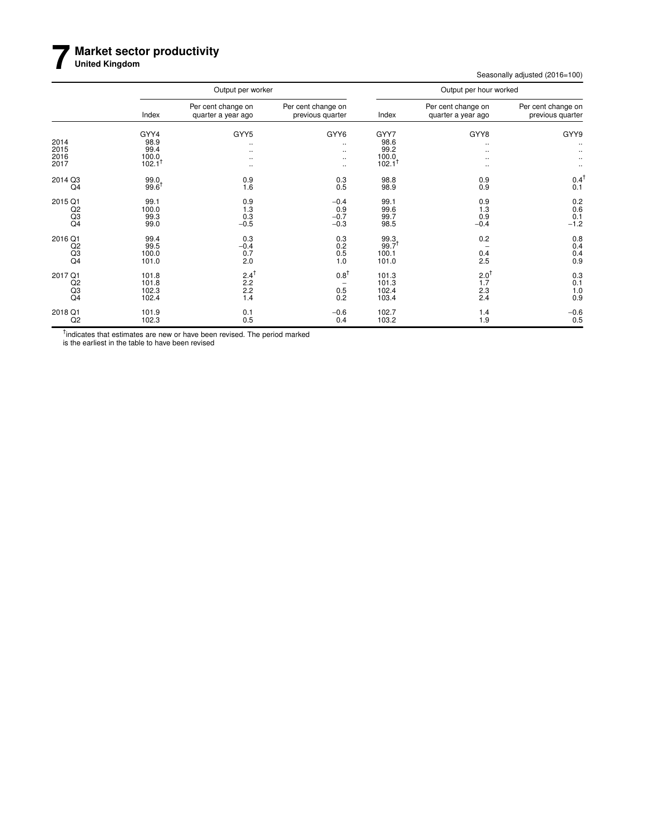### **7 Market sector productivity**

**United Kingdom**

Seasonally adjusted (2016=100)

|                                           |                                                         | Output per worker                                |                                        |                                                         | Output per hour worked                            | Per cent change on<br>previous quarter<br>GYY9<br>$\ddotsc$<br>$0.4^{\dagger}$<br>0.1<br>0.2<br>0.6<br>0.1<br>$-1.2$<br>0.8<br>0.4 |  |  |  |
|-------------------------------------------|---------------------------------------------------------|--------------------------------------------------|----------------------------------------|---------------------------------------------------------|---------------------------------------------------|------------------------------------------------------------------------------------------------------------------------------------|--|--|--|
|                                           | Index                                                   | Per cent change on<br>quarter a year ago         | Per cent change on<br>previous quarter | Index                                                   | Per cent change on<br>quarter a year ago          |                                                                                                                                    |  |  |  |
| 2014<br>2015<br>2016<br>2017              | GYY4<br>98.9<br>99.4<br>$100.0$<br>$102.1$ <sup>†</sup> | GYY5<br>$\ddotsc$<br>$\ddotsc$<br><br>$\cdots$   | GYY6<br><br><br><br>                   | GYY7<br>98.6<br>99.2<br>$100.0$<br>$102.1$ <sup>†</sup> | GYY8<br><br>٠.<br>                                |                                                                                                                                    |  |  |  |
| 2014 Q3<br>Q <sub>4</sub>                 | 99.0<br>$99.6^T$                                        | 0.9<br>1.6                                       | 0.3<br>0.5                             | 98.8<br>98.9                                            | 0.9<br>0.9                                        |                                                                                                                                    |  |  |  |
| 2015 Q1<br>$^{Q2}_{Q3}$<br>Q4             | 99.1<br>100.0<br>99.3<br>99.0                           | 0.9<br>1.3<br>0.3<br>$-0.5$                      | $-0.4$<br>0.9<br>$-0.7$<br>$-0.3$      | 99.1<br>99.6<br>99.7<br>98.5                            | 0.9<br>1.3<br>0.9<br>$-0.4$                       |                                                                                                                                    |  |  |  |
| 2016 Q1<br>Q <sub>2</sub><br>$^{Q3}_{Q4}$ | 99.4<br>99.5<br>100.0<br>101.0                          | 0.3<br>$-0.4$<br>0.7<br>2.0                      | 0.3<br>0.2<br>0.5<br>1.0               | 99.3<br>99.7 <sup>†</sup><br>100.1<br>101.0             | 0.2<br>$0.4$<br>2.5                               | $0.4$<br>$0.9$                                                                                                                     |  |  |  |
| 2017 Q1<br>Q <sub>2</sub><br>Q3<br>Q4     | 101.8<br>101.8<br>102.3<br>102.4                        | $2.4^{\dagger}$<br>$2.2^{\dagger}$<br>2.2<br>1.4 | $0.8^{\dagger}$<br>0.5<br>0.2          | 101.3<br>101.3<br>102.4<br>103.4                        | $2.0^{\dagger}$<br>$1.\overline{7}$<br>2.3<br>2.4 | 0.3<br>0.1<br>1.0<br>0.9                                                                                                           |  |  |  |
| 2018 Q1<br>Q <sub>2</sub>                 | 101.9<br>102.3                                          | 0.1<br>0.5                                       | $-0.6$<br>0.4                          | 102.7<br>103.2                                          | 1.4<br>1.9                                        | $-0.6$<br>0.5                                                                                                                      |  |  |  |

<sup>†</sup>indicates that estimates are new or have been revised. The period marked

is the earliest in the table to have been revised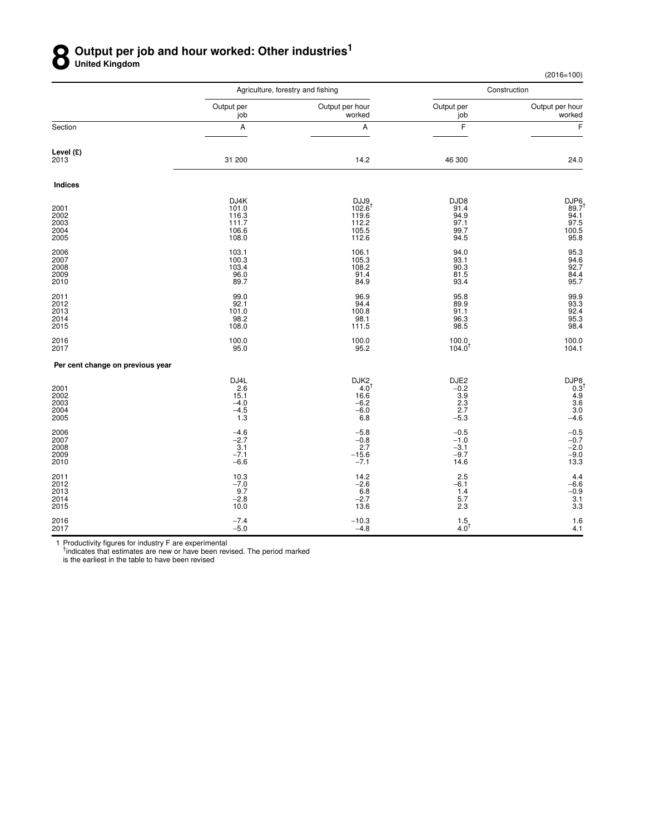## **8** Output per job and hour worked: Other industries<sup>1</sup><br> **8** United Kingdom **United Kingdom**

(2016=100)

|                                      |                                                   | Agriculture, forestry and fishing                                      |                                                      | Construction                                               |
|--------------------------------------|---------------------------------------------------|------------------------------------------------------------------------|------------------------------------------------------|------------------------------------------------------------|
|                                      | Output per<br>job                                 | Output per hour<br>worked                                              | Output per<br>job                                    | Output per hour<br>worked                                  |
| Section                              | A                                                 | А                                                                      | F                                                    | F                                                          |
| Level (£)<br>2013                    | 31 200                                            | 14.2                                                                   | 46 300                                               | 24.0                                                       |
| <b>Indices</b>                       |                                                   |                                                                        |                                                      |                                                            |
| 2001<br>2002<br>2003<br>2004<br>2005 | DJ4K<br>101.0<br>116.3<br>111.7<br>106.6<br>108.0 | DJJ9<br>$102.6^{\dagger}$<br>119.6<br>112.2<br>105.5<br>112.6          | DJD8<br>91.4<br>94.9<br>97.1<br>99.7<br>94.5         | DJP6<br>89.7 <sup>t</sup><br>94.1<br>97.5<br>100.5<br>95.8 |
| 2006<br>2007<br>2008<br>2009<br>2010 | 103.1<br>100.3<br>103.4<br>96.0<br>89.7           | 106.1<br>105.3<br>108.2<br>91.4<br>84.9                                | 94.0<br>93.1<br>90.3<br>81.5<br>93.4                 | 95.3<br>94.6<br>92.7<br>84.4<br>95.7                       |
| 2011<br>2012<br>2013<br>2014<br>2015 | 99.0<br>92.1<br>101.0<br>98.2<br>108.0            | 96.9<br>94.4<br>100.8<br>98.1<br>111.5                                 | 95.8<br>89.9<br>91.1<br>96.3<br>98.5                 | 99.9<br>93.3<br>92.4<br>95.3<br>98.4                       |
| 2016<br>2017                         | 100.0<br>95.0                                     | 100.0<br>95.2                                                          | 100.0<br>104.0                                       | 100.0<br>104.1                                             |
| Per cent change on previous year     |                                                   |                                                                        |                                                      |                                                            |
| 2001<br>2002<br>2003<br>2004<br>2005 | DJ4L<br>2.6<br>15.1<br>$-4.0$<br>$-4.5$<br>$1.3$  | DJK <sub>2</sub><br>$4.0^{\dagger}$<br>16.6<br>$-6.2$<br>$-6.0$<br>6.8 | DJE2<br>$-0.2$<br>$\frac{3.9}{2.3}$<br>2.7<br>$-5.3$ | DJP8<br>0.3 <sup>1</sup><br>4.9<br>3.6<br>3.0<br>$-4.6$    |
| 2006<br>2007<br>2008<br>2009<br>2010 | $-4.6$<br>$-2.7$<br>3.1<br>$-7.1$<br>$-6.6$       | $-5.8$<br>$-0.8$<br>2.7<br>$-15.6$<br>$-7.1$                           | $-0.5$<br>$-1.0$<br>$-3.1$<br>$-9.7$<br>14.6         | $-0.5$<br>$-0.7$<br>$-2.0$<br>$-9.0$<br>13.3               |
| 2011<br>2012<br>2013<br>2014<br>2015 | 10.3<br>$-7.0$<br>9.7<br>$-2.8$<br>10.0           | 14.2<br>$-2.6$<br>6.8<br>$-2.7$<br>13.6                                | 2.5<br>$-6.1$<br>1.4<br>5.7<br>2.3                   | 4.4<br>$-6.6$<br>$-0.9$<br>3.1<br>3.3                      |
| 2016<br>2017                         | $-7.4$<br>$-5.0$                                  | $-10.3$<br>$-4.8$                                                      | $1.5$ <sub>4.0</sub> <sup>+</sup>                    | 1.6<br>4.1                                                 |

1 Productivity figures for industry F are experimental<br><sup>†</sup>indicates that estimates are new or have been revised. The period marked

is the earliest in the table to have been revised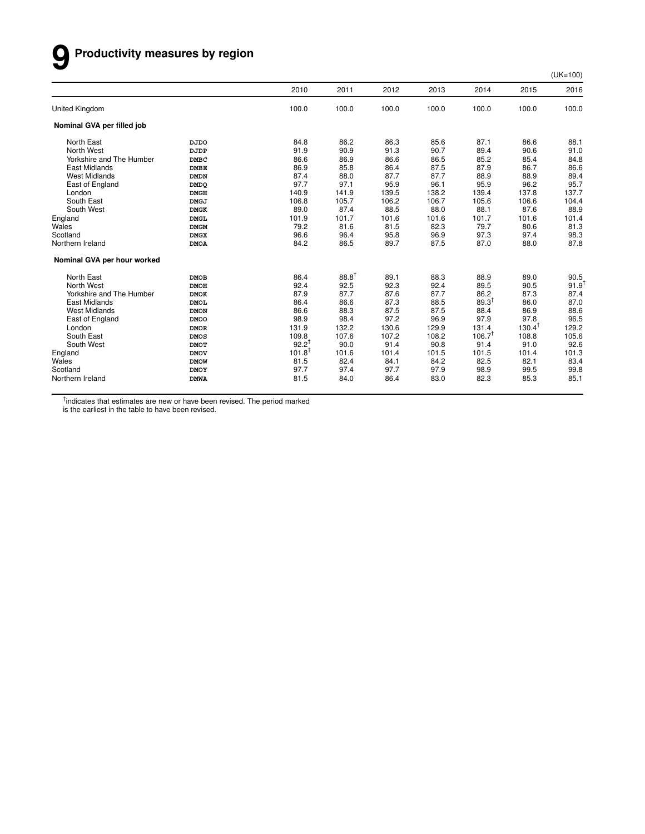# **9 Productivity measures by region**

(UK=100)

|                             |             | 2010              | 2011       | 2012  | 2013  | 2014              | 2015              | 2016       |
|-----------------------------|-------------|-------------------|------------|-------|-------|-------------------|-------------------|------------|
| <b>United Kingdom</b>       |             | 100.0             | 100.0      | 100.0 | 100.0 | 100.0             | 100.0             | 100.0      |
| Nominal GVA per filled job  |             |                   |            |       |       |                   |                   |            |
| North East                  | <b>DJDO</b> | 84.8              | 86.2       | 86.3  | 85.6  | 87.1              | 86.6              | 88.1       |
| North West                  | DJDP        | 91.9              | 90.9       | 91.3  | 90.7  | 89.4              | 90.6              | 91.0       |
| Yorkshire and The Humber    | <b>DMBC</b> | 86.6              | 86.9       | 86.6  | 86.5  | 85.2              | 85.4              | 84.8       |
| East Midlands               | <b>DMBE</b> | 86.9              | 85.8       | 86.4  | 87.5  | 87.9              | 86.7              | 86.6       |
| <b>West Midlands</b>        | <b>DMDN</b> | 87.4              | 88.0       | 87.7  | 87.7  | 88.9              | 88.9              | 89.4       |
| East of England             | <b>DMDQ</b> | 97.7              | 97.1       | 95.9  | 96.1  | 95.9              | 96.2              | 95.7       |
| London                      | <b>DMGH</b> | 140.9             | 141.9      | 139.5 | 138.2 | 139.4             | 137.8             | 137.7      |
| South East                  | <b>DMGJ</b> | 106.8             | 105.7      | 106.2 | 106.7 | 105.6             | 106.6             | 104.4      |
| South West                  | <b>DMGK</b> | 89.0              | 87.4       | 88.5  | 88.0  | 88.1              | 87.6              | 88.9       |
| England                     | <b>DMGL</b> | 101.9             | 101.7      | 101.6 | 101.6 | 101.7             | 101.6             | 101.4      |
| Wales                       | <b>DMGM</b> | 79.2              | 81.6       | 81.5  | 82.3  | 79.7              | 80.6              | 81.3       |
| Scotland                    | <b>DMGX</b> | 96.6              | 96.4       | 95.8  | 96.9  | 97.3              | 97.4              | 98.3       |
| Northern Ireland            | <b>DMOA</b> | 84.2              | 86.5       | 89.7  | 87.5  | 87.0              | 88.0              | 87.8       |
| Nominal GVA per hour worked |             |                   |            |       |       |                   |                   |            |
| North East                  | <b>DMOB</b> | 86.4              | $88.8^{†}$ | 89.1  | 88.3  | 88.9              | 89.0              | 90.5       |
| North West                  | <b>DMOH</b> | 92.4              | 92.5       | 92.3  | 92.4  | 89.5              | 90.5              | $91.9^{†}$ |
| Yorkshire and The Humber    | <b>DMOK</b> | 87.9              | 87.7       | 87.6  | 87.7  | 86.2              | 87.3              | 87.4       |
| East Midlands               | <b>DMOL</b> | 86.4              | 86.6       | 87.3  | 88.5  | $89.3^{1}$        | 86.0              | 87.0       |
| <b>West Midlands</b>        | <b>DMON</b> | 86.6              | 88.3       | 87.5  | 87.5  | 88.4              | 86.9              | 88.6       |
| East of England             | <b>DMOO</b> | 98.9              | 98.4       | 97.2  | 96.9  | 97.9              | 97.8              | 96.5       |
| London                      | <b>DMOR</b> | 131.9             | 132.2      | 130.6 | 129.9 | 131.4             | $130.4^{\dagger}$ | 129.2      |
| South East                  | <b>DMOS</b> | 109.8             | 107.6      | 107.2 | 108.2 | $106.7^{\dagger}$ | 108.8             | 105.6      |
| South West                  | <b>DMOT</b> | $92.2^{+}$        | 90.0       | 91.4  | 90.8  | 91.4              | 91.0              | 92.6       |
| England                     | <b>DMOV</b> | $101.8^{\dagger}$ | 101.6      | 101.4 | 101.5 | 101.5             | 101.4             | 101.3      |
| Wales                       | <b>DMOW</b> | 81.5              | 82.4       | 84.1  | 84.2  | 82.5              | 82.1              | 83.4       |
| Scotland                    | <b>DMOY</b> | 97.7              | 97.4       | 97.7  | 97.9  | 98.9              | 99.5              | 99.8       |
| Northern Ireland            | <b>DMWA</b> | 81.5              | 84.0       | 86.4  | 83.0  | 82.3              | 85.3              | 85.1       |

<sup>†</sup>indicates that estimates are new or have been revised. The period marked

is the earliest in the table to have been revised.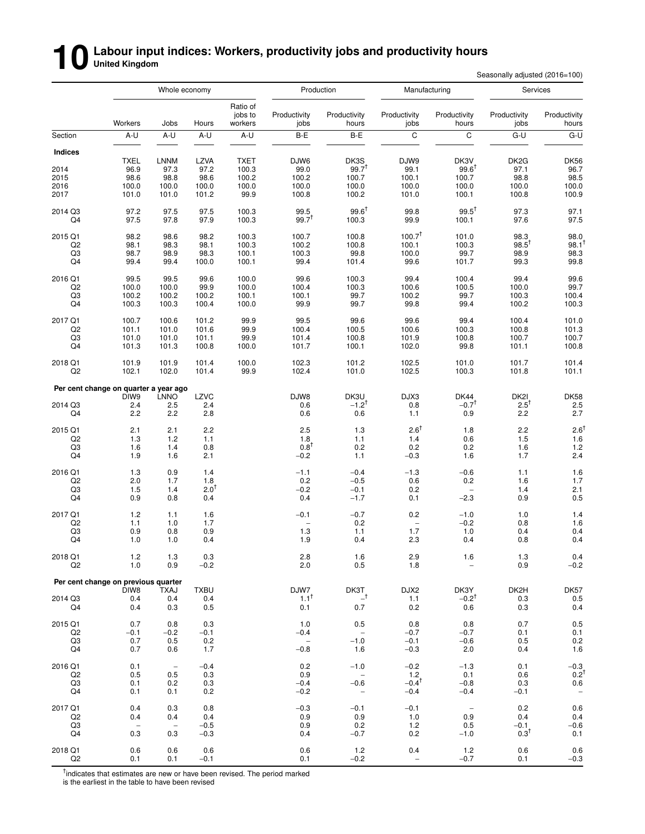# **10** Labour input indices: Workers, productivity jobs and productivity hours<br>
Secondary the Secondary Secondary Secondary Secondary Secondary Secondary Secondary Secondary Secondary Seconda<br>
Secondary Secondary Secondary S

Seasonally adjusted (2016=100)

|                      | Whole economy                         |                          | Production         |                                |                          | Manufacturing                      |                               | Services                 |                      |                                 |
|----------------------|---------------------------------------|--------------------------|--------------------|--------------------------------|--------------------------|------------------------------------|-------------------------------|--------------------------|----------------------|---------------------------------|
|                      | Workers                               | Jobs                     | Hours              | Ratio of<br>jobs to<br>workers | Productivity<br>jobs     | Productivity<br>hours              | Productivity<br>jobs          | Productivity<br>hours    | Productivity<br>jobs | Productivity<br>hours           |
| Section              | A-U                                   | A-U                      | A-U                | A-U                            | B-E                      | B-E                                | C                             | C                        | G-U                  | G-U                             |
| <b>Indices</b>       |                                       |                          |                    |                                |                          |                                    |                               |                          |                      |                                 |
|                      | <b>TXEL</b>                           | <b>LNNM</b>              | LZVA               | <b>TXET</b>                    | DJW6                     | DK3S                               | DJW9                          | DK3V                     | DK <sub>2</sub> G    | <b>DK56</b>                     |
| 2014                 | 96.9                                  | 97.3                     | 97.2               | 100.3                          | 99.0                     | $99.7^{+}$                         | 99.1                          | $99.6^{\dagger}$         | 97.1                 | 96.7                            |
| 2015<br>2016         | 98.6<br>100.0                         | 98.8<br>100.0            | 98.6<br>100.0      | 100.2<br>100.0                 | 100.2<br>100.0           | 100.7<br>100.0                     | 100.1<br>100.0                | 100.7<br>100.0           | 98.8<br>100.0        | 98.5<br>100.0                   |
| 2017                 | 101.0                                 | 101.0                    | 101.2              | 99.9                           | 100.8                    | 100.2                              | 101.0                         | 100.1                    | 100.8                | 100.9                           |
| 2014 Q3              | 97.2                                  | 97.5                     | 97.5               | 100.3                          | 99.5                     | $99.6^{\dagger}$                   | 99.8                          | $99.5^{\dagger}$         | 97.3                 | 97.1                            |
| Q4                   | 97.5                                  | 97.8                     | 97.9               | 100.3                          | $99.7^{T}$               | 100.3                              | 99.9                          | 100.1                    | 97.6                 | 97.5                            |
| 2015 Q1              | 98.2                                  | 98.6                     | 98.2               | 100.3                          | 100.7                    | 100.8                              | 100.7 <sup>†</sup>            | 101.0                    | 98.3                 | 98.0                            |
| Q <sub>2</sub>       | 98.1                                  | 98.3                     | 98.1               | 100.3                          | 100.2                    | 100.8                              | 100.1                         | 100.3                    | $98.5^{\dagger}$     | $98.1^{\dagger}$                |
| Q3<br>Q4             | 98.7<br>99.4                          | 98.9<br>99.4             | 98.3<br>100.0      | 100.1<br>100.1                 | 100.3<br>99.4            | 99.8<br>101.4                      | 100.0<br>99.6                 | 99.7<br>101.7            | 98.9<br>99.3         | 98.3<br>99.8                    |
|                      |                                       |                          |                    |                                |                          |                                    |                               |                          |                      |                                 |
| 2016 Q1<br>Q2        | 99.5<br>100.0                         | 99.5<br>100.0            | 99.6<br>99.9       | 100.0<br>100.0                 | 99.6<br>100.4            | 100.3<br>100.3                     | 99.4<br>100.6                 | 100.4<br>100.5           | 99.4<br>100.0        | 99.6<br>99.7                    |
| Q3                   | 100.2                                 | 100.2                    | 100.2              | 100.1                          | 100.1                    | 99.7                               | 100.2                         | 99.7                     | 100.3                | 100.4                           |
| Q4                   | 100.3                                 | 100.3                    | 100.4              | 100.0                          | 99.9                     | 99.7                               | 99.8                          | 99.4                     | 100.2                | 100.3                           |
| 2017 Q1              | 100.7                                 | 100.6                    | 101.2              | 99.9                           | 99.5                     | 99.6                               | 99.6                          | 99.4                     | 100.4                | 101.0                           |
| Q <sub>2</sub>       | 101.1                                 | 101.0                    | 101.6              | 99.9                           | 100.4                    | 100.5                              | 100.6                         | 100.3                    | 100.8                | 101.3                           |
| Q <sub>3</sub><br>Q4 | 101.0<br>101.3                        | 101.0<br>101.3           | 101.1<br>100.8     | 99.9<br>100.0                  | 101.4<br>101.7           | 100.8<br>100.1                     | 101.9<br>102.0                | 100.8<br>99.8            | 100.7<br>101.1       | 100.7<br>100.8                  |
| 2018 Q1              | 101.9                                 | 101.9                    | 101.4              | 100.0                          | 102.3                    | 101.2                              | 102.5                         | 101.0                    | 101.7                | 101.4                           |
| Q2                   | 102.1                                 | 102.0                    | 101.4              | 99.9                           | 102.4                    | 101.0                              | 102.5                         | 100.3                    | 101.8                | 101.1                           |
|                      | Per cent change on quarter a year ago |                          |                    |                                |                          |                                    |                               |                          |                      |                                 |
|                      | DIW <sub>9</sub>                      | <b>LNNO</b>              | LZVC               |                                | DJW8                     | DK3U                               | DJX3                          | <b>DK44</b>              | DK <sub>2</sub> I    | <b>DK58</b>                     |
| 2014 Q3              | 2.4                                   | 2.5                      | 2.4                |                                | 0.6                      | $-1.2^{+}$                         | 0.8                           | $-0.7$ <sup>†</sup>      | $2.5^{\mathrm{T}}$   | 2.5                             |
| Q4                   | 2.2                                   | 2.2                      | 2.8                |                                | 0.6                      | 0.6                                | 1.1                           | 0.9                      | 2.2                  | 2.7                             |
| 2015 Q1              | 2.1                                   | 2.1                      | 2.2                |                                | 2.5                      | 1.3                                | $2.6^{\dagger}$               | 1.8                      | 2.2                  | $2.6^{\dagger}$                 |
| Q <sub>2</sub><br>Q3 | 1.3<br>1.6                            | 1.2<br>1.4               | 1.1<br>0.8         |                                | 1.8<br>$0.8^{\dagger}$   | 1.1<br>0.2                         | 1.4<br>0.2                    | 0.6<br>0.2               | 1.5<br>1.6           | 1.6<br>1.2                      |
| Q4                   | 1.9                                   | 1.6                      | 2.1                |                                | $-0.2$                   | 1.1                                | $-0.3$                        | 1.6                      | 1.7                  | 2.4                             |
| 2016 Q1              | 1.3                                   | 0.9                      | 1.4                |                                | $-1.1$                   | $-0.4$                             | $-1.3$                        | $-0.6$                   | 1.1                  | 1.6                             |
| Q <sub>2</sub>       | 2.0                                   | 1.7                      | 1.8                |                                | 0.2                      | $-0.5$                             | 0.6                           | 0.2                      | 1.6                  | 1.7                             |
| Q3                   | 1.5                                   | 1.4                      | $2.0^{\dagger}$    |                                | $-0.2$                   | $-0.1$                             | 0.2                           | -                        | 1.4                  | 2.1                             |
| Q4                   | 0.9                                   | 0.8                      | 0.4                |                                | 0.4                      | $-1.7$                             | 0.1                           | $-2.3$                   | 0.9                  | 0.5                             |
| 2017 Q1              | 1.2                                   | 1.1                      | 1.6                |                                | $-0.1$                   | $-0.7$                             | 0.2                           | $-1.0$                   | 1.0                  | 1.4                             |
| Q <sub>2</sub>       | 1.1                                   | 1.0                      | 1.7                |                                |                          | 0.2                                | $\overline{\phantom{0}}$      | $-0.2$                   | 0.8                  | 1.6                             |
| Q3<br>Q4             | 0.9<br>1.0                            | 0.8<br>1.0               | 0.9<br>0.4         |                                | 1.3<br>1.9               | 1.1<br>0.4                         | 1.7<br>2.3                    | 1.0<br>0.4               | 0.4<br>0.8           | 0.4<br>0.4                      |
| 2018 Q1              | 1.2                                   | $1.3$                    | $0.3\,$            |                                | 2.8                      | 1.6                                | 2.9                           | 1.6                      | 1.3                  | 0.4                             |
| Q2                   | 1.0                                   | 0.9                      | $-0.2$             |                                | 2.0                      | 0.5                                | 1.8                           |                          | 0.9                  | $-0.2$                          |
|                      | Per cent change on previous quarter   |                          |                    |                                |                          |                                    |                               |                          |                      |                                 |
| 2014 Q3              | DIW8<br>0.4                           | TXAJ<br>0.4              | <b>TXBU</b><br>0.4 |                                | DJW7<br>$1.1^{\dagger}$  | DK3T<br>$\_^{\dagger}$             | DJX2<br>1.1                   | DK3Y<br>$-0.2†$          | DK2H<br>0.3          | DK57<br>0.5                     |
| Q4                   | 0.4                                   | 0.3                      | 0.5                |                                | 0.1                      | 0.7                                | 0.2                           | 0.6                      | 0.3                  | 0.4                             |
| 2015 Q1              | 0.7                                   | 0.8                      | 0.3                |                                | 1.0                      | 0.5                                | 0.8                           | 0.8                      | 0.7                  | 0.5                             |
| Q <sub>2</sub>       | $-0.1$                                | $-0.2$                   | $-0.1$             |                                | $-0.4$                   | $\overline{\phantom{a}}$           | $-0.7$                        | $-0.7$                   | 0.1                  | 0.1                             |
| Q3                   | 0.7                                   | 0.5                      | 0.2                |                                | $\overline{\phantom{a}}$ | $-1.0$                             | $-0.1$                        | $-0.6$                   | 0.5                  | 0.2                             |
| Q4                   | 0.7                                   | 0.6                      | 1.7                |                                | $-0.8$                   | 1.6                                | $-0.3$                        | 2.0                      | 0.4                  | 1.6                             |
| 2016 Q1              | 0.1                                   | $\overline{\phantom{a}}$ | $-0.4$             |                                | 0.2                      | $-1.0$                             | $-0.2$                        | $-1.3$                   | 0.1                  | $-0.3$                          |
| Q2                   | 0.5                                   | 0.5                      | 0.3                |                                | 0.9                      | $\overline{\phantom{a}}$           | 1.2                           | 0.1                      | 0.6                  | $0.2^{\dagger}$                 |
| Q3<br>Q4             | 0.1<br>0.1                            | 0.2<br>0.1               | 0.3<br>0.2         |                                | $-0.4$<br>$-0.2$         | $-0.6$<br>$\overline{\phantom{a}}$ | $-0.4$ <sup>T</sup><br>$-0.4$ | $-0.8$<br>$-0.4$         | 0.3<br>$-0.1$        | 0.6<br>$\overline{\phantom{m}}$ |
| 2017 Q1              | 0.4                                   | 0.3                      | 0.8                |                                | $-0.3$                   | $-0.1$                             | $-0.1$                        | $\overline{\phantom{a}}$ | 0.2                  | 0.6                             |
| Q2                   | 0.4                                   | 0.4                      | 0.4                |                                | 0.9                      | 0.9                                | 1.0                           | 0.9                      | 0.4                  | 0.4                             |
| Q3                   | $\overline{\phantom{0}}$              | $\overline{\phantom{a}}$ | $-0.5$             |                                | 0.9                      | 0.2                                | 1.2                           | 0.5                      | $-0.1$               | $-0.6$                          |
| Q4                   | 0.3                                   | 0.3                      | $-0.3$             |                                | 0.4                      | $-0.7$                             | 0.2                           | $-1.0$                   | $0.3^T$              | 0.1                             |
| 2018 Q1              | 0.6                                   | 0.6                      | 0.6                |                                | 0.6                      | 1.2                                | 0.4                           | 1.2                      | 0.6                  | 0.6                             |
| Q <sub>2</sub>       | 0.1                                   | 0.1                      | $-0.1$             |                                | 0.1                      | $-0.2$                             | $\qquad \qquad -$             | $-0.7$                   | 0.1                  | $-0.3$                          |

<sup>†</sup>indicates that estimates are new or have been revised. The period marked is the earliest in the table to have been revised